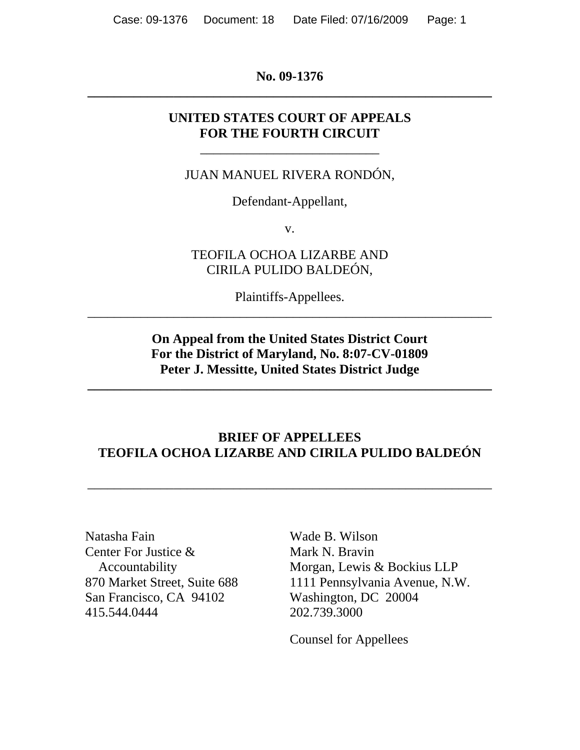**No. 09-1376 \_\_\_\_\_\_\_\_\_\_\_\_\_\_\_\_\_\_\_\_\_\_\_\_\_\_\_\_\_\_\_\_\_\_\_\_\_\_\_\_\_\_\_\_\_\_\_\_\_\_\_\_\_\_\_\_\_\_\_\_\_** 

## **UNITED STATES COURT OF APPEALS FOR THE FOURTH CIRCUIT**

\_\_\_\_\_\_\_\_\_\_\_\_\_\_\_\_\_\_\_\_\_\_\_\_\_\_\_

JUAN MANUEL RIVERA RONDÓN,

Defendant-Appellant,

v.

TEOFILA OCHOA LIZARBE AND CIRILA PULIDO BALDEÓN,

Plaintiffs-Appellees. *\_\_\_\_\_\_\_\_\_\_\_\_\_\_\_\_\_\_\_\_\_\_\_\_\_\_\_\_\_\_\_\_\_\_\_\_\_\_\_\_\_\_\_\_\_\_\_\_\_\_\_\_\_\_\_\_\_\_\_\_\_*

> **On Appeal from the United States District Court For the District of Maryland, No. 8:07-CV-01809 Peter J. Messitte, United States District Judge**

**\_\_\_\_\_\_\_\_\_\_\_\_\_\_\_\_\_\_\_\_\_\_\_\_\_\_\_\_\_\_\_\_\_\_\_\_\_\_\_\_\_\_\_\_\_\_\_\_\_\_\_\_\_\_\_\_\_\_\_\_\_** 

## **BRIEF OF APPELLEES TEOFILA OCHOA LIZARBE AND CIRILA PULIDO BALDEÓN**

\_\_\_\_\_\_\_\_\_\_\_\_\_\_\_\_\_\_\_\_\_\_\_\_\_\_\_\_\_\_\_\_\_\_\_\_\_\_\_\_\_\_\_\_\_\_\_\_\_\_\_\_\_\_\_\_\_\_\_\_\_

Natasha Fain Wade B. Wilson Center For Justice & Mark N. Bravin San Francisco, CA 94102 Washington, DC 20004 415.544.0444 202.739.3000

Accountability Morgan, Lewis & Bockius LLP 870 Market Street, Suite 688 1111 Pennsylvania Avenue, N.W.

Counsel for Appellees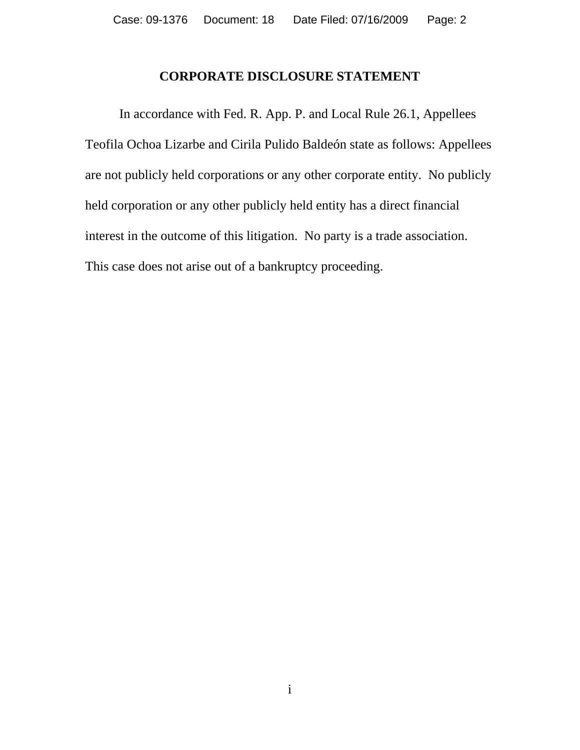## **CORPORATE DISCLOSURE STATEMENT**

In accordance with Fed. R. App. P. and Local Rule 26.1, Appellees Teofila Ochoa Lizarbe and Cirila Pulido Baldeón state as follows: Appellees are not publicly held corporations or any other corporate entity. No publicly held corporation or any other publicly held entity has a direct financial interest in the outcome of this litigation. No party is a trade association. This case does not arise out of a bankruptcy proceeding.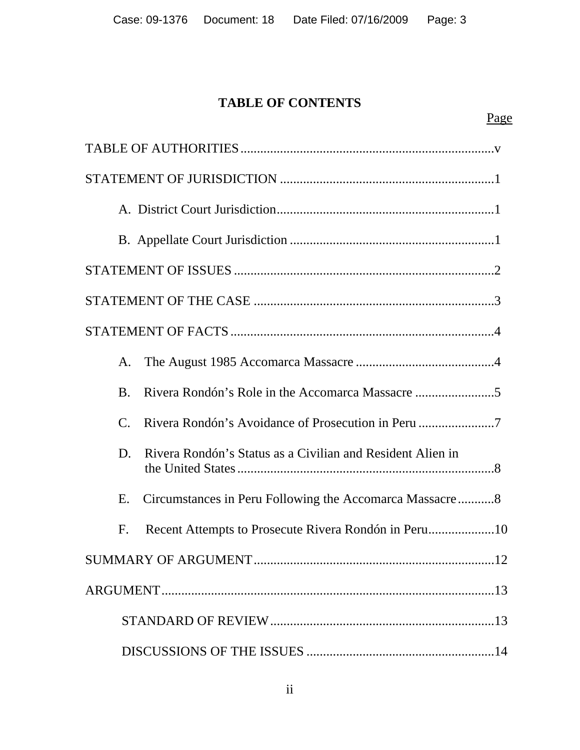## **TABLE OF CONTENTS**

## **Page Page**

| A.                                                               |  |  |
|------------------------------------------------------------------|--|--|
| <b>B.</b>                                                        |  |  |
| $\mathbf{C}$ .                                                   |  |  |
| Rivera Rondón's Status as a Civilian and Resident Alien in<br>D. |  |  |
| Circumstances in Peru Following the Accomarca Massacre8<br>E.    |  |  |
| F.                                                               |  |  |
| SUMMARY OF ARGUMENT.<br>.12                                      |  |  |
|                                                                  |  |  |
|                                                                  |  |  |
|                                                                  |  |  |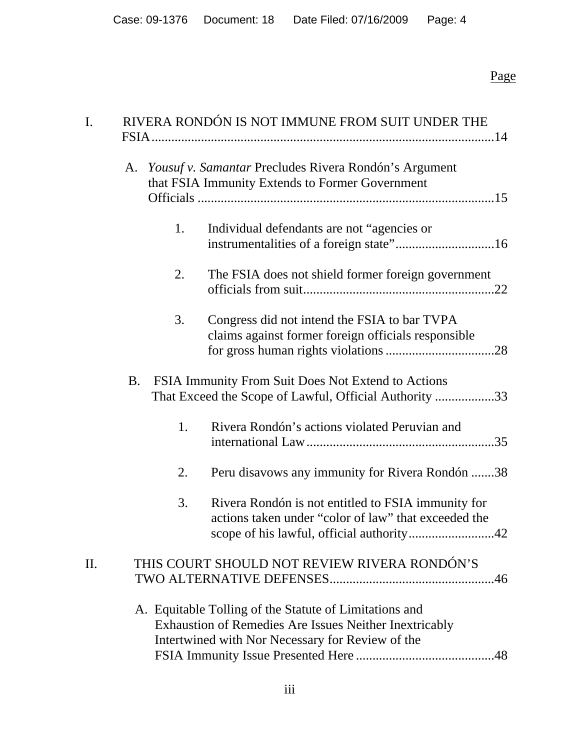# Page

| $\mathbf{I}$ . |    |    | RIVERA RONDÓN IS NOT IMMUNE FROM SUIT UNDER THE                                                                                                                      |
|----------------|----|----|----------------------------------------------------------------------------------------------------------------------------------------------------------------------|
|                |    |    | A. Yousuf v. Samantar Precludes Rivera Rondón's Argument<br>that FSIA Immunity Extends to Former Government                                                          |
|                |    | 1. | Individual defendants are not "agencies or                                                                                                                           |
|                |    | 2. | The FSIA does not shield former foreign government                                                                                                                   |
|                |    | 3. | Congress did not intend the FSIA to bar TVPA<br>claims against former foreign officials responsible                                                                  |
|                | B. |    | FSIA Immunity From Suit Does Not Extend to Actions<br>That Exceed the Scope of Lawful, Official Authority 33                                                         |
|                |    | 1. | Rivera Rondón's actions violated Peruvian and                                                                                                                        |
|                |    | 2. | Peru disavows any immunity for Rivera Rondón 38                                                                                                                      |
|                |    | 3. | Rivera Rondón is not entitled to FSIA immunity for<br>actions taken under "color of law" that exceeded the                                                           |
| II.            |    |    | THIS COURT SHOULD NOT REVIEW RIVERA RONDÓN'S                                                                                                                         |
|                |    |    | A. Equitable Tolling of the Statute of Limitations and<br>Exhaustion of Remedies Are Issues Neither Inextricably<br>Intertwined with Nor Necessary for Review of the |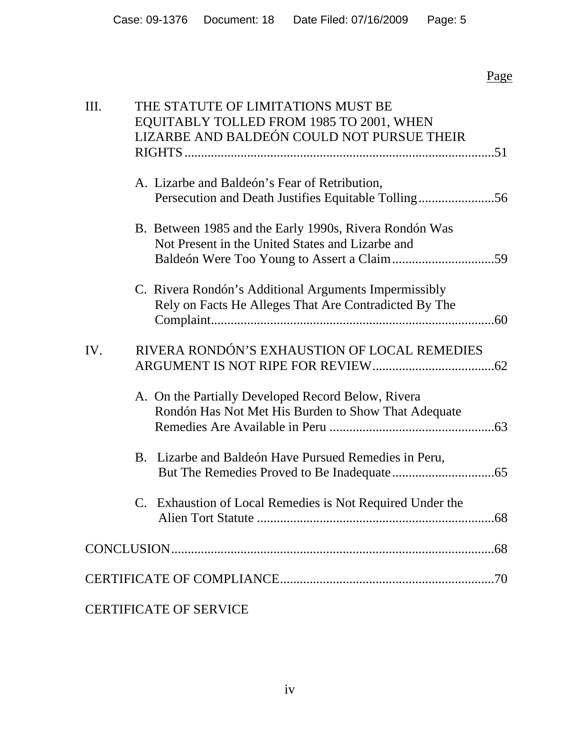#### **Page Page**

| Ш.  |    | THE STATUTE OF LIMITATIONS MUST BE                     |
|-----|----|--------------------------------------------------------|
|     |    | EQUITABLY TOLLED FROM 1985 TO 2001, WHEN               |
|     |    | LIZARBE AND BALDEÓN COULD NOT PURSUE THEIR             |
|     |    |                                                        |
|     |    |                                                        |
|     |    | A. Lizarbe and Baldeón's Fear of Retribution,          |
|     |    |                                                        |
|     |    | B. Between 1985 and the Early 1990s, Rivera Rondón Was |
|     |    | Not Present in the United States and Lizarbe and       |
|     |    |                                                        |
|     |    |                                                        |
|     |    | C. Rivera Rondón's Additional Arguments Impermissibly  |
|     |    | Rely on Facts He Alleges That Are Contradicted By The  |
|     |    |                                                        |
|     |    |                                                        |
| IV. |    | RIVERA RONDÓN'S EXHAUSTION OF LOCAL REMEDIES           |
|     |    |                                                        |
|     |    | A. On the Partially Developed Record Below, Rivera     |
|     |    | Rondón Has Not Met His Burden to Show That Adequate    |
|     |    |                                                        |
|     |    |                                                        |
|     |    | B. Lizarbe and Baldeón Have Pursued Remedies in Peru,  |
|     |    |                                                        |
|     | C. |                                                        |
|     |    | Exhaustion of Local Remedies is Not Required Under the |
|     |    |                                                        |
|     |    |                                                        |
|     |    |                                                        |
|     |    |                                                        |
|     |    | <b>CERTIFICATE OF SERVICE</b>                          |
|     |    |                                                        |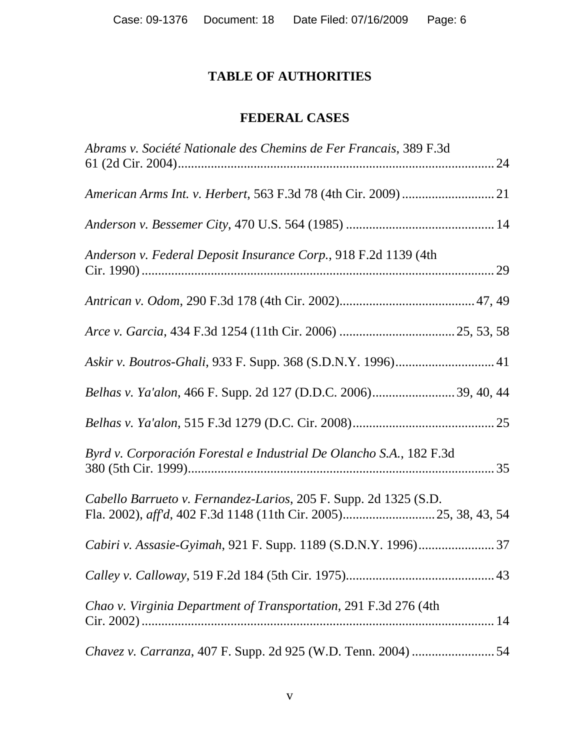# **TABLE OF AUTHORITIES**

# **FEDERAL CASES**

| Abrams v. Société Nationale des Chemins de Fer Francais, 389 F.3d   |
|---------------------------------------------------------------------|
|                                                                     |
|                                                                     |
| Anderson v. Federal Deposit Insurance Corp., 918 F.2d 1139 (4th     |
|                                                                     |
|                                                                     |
| Askir v. Boutros-Ghali, 933 F. Supp. 368 (S.D.N.Y. 1996) 41         |
| Belhas v. Ya'alon, 466 F. Supp. 2d 127 (D.D.C. 2006) 39, 40, 44     |
|                                                                     |
| Byrd v. Corporación Forestal e Industrial De Olancho S.A., 182 F.3d |
| Cabello Barrueto v. Fernandez-Larios, 205 F. Supp. 2d 1325 (S.D.    |
|                                                                     |
|                                                                     |
| Chao v. Virginia Department of Transportation, 291 F.3d 276 (4th    |
|                                                                     |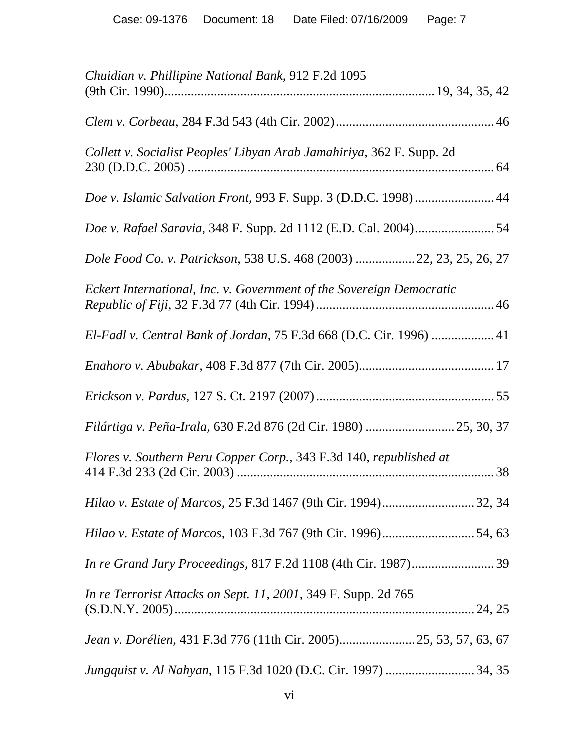| Chuidian v. Phillipine National Bank, 912 F.2d 1095                   |
|-----------------------------------------------------------------------|
|                                                                       |
| Collett v. Socialist Peoples' Libyan Arab Jamahiriya, 362 F. Supp. 2d |
| Doe v. Islamic Salvation Front, 993 F. Supp. 3 (D.D.C. 1998)  44      |
|                                                                       |
| Dole Food Co. v. Patrickson, 538 U.S. 468 (2003)  22, 23, 25, 26, 27  |
| Eckert International, Inc. v. Government of the Sovereign Democratic  |
| El-Fadl v. Central Bank of Jordan, 75 F.3d 668 (D.C. Cir. 1996)  41   |
|                                                                       |
|                                                                       |
| Filártiga v. Peña-Irala, 630 F.2d 876 (2d Cir. 1980)  25, 30, 37      |
| Flores v. Southern Peru Copper Corp., 343 F.3d 140, republished at    |
|                                                                       |
| Hilao v. Estate of Marcos, 103 F.3d 767 (9th Cir. 1996)54, 63         |
|                                                                       |
| In re Terrorist Attacks on Sept. 11, 2001, 349 F. Supp. 2d 765        |
|                                                                       |
| Jungquist v. Al Nahyan, 115 F.3d 1020 (D.C. Cir. 1997)  34, 35        |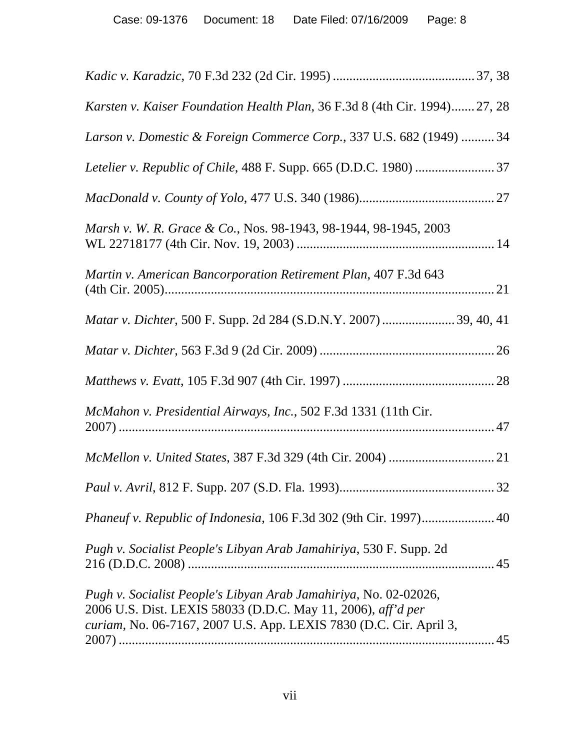| Karsten v. Kaiser Foundation Health Plan, 36 F.3d 8 (4th Cir. 1994)27, 28                                                                                                                                    |
|--------------------------------------------------------------------------------------------------------------------------------------------------------------------------------------------------------------|
| Larson v. Domestic & Foreign Commerce Corp., 337 U.S. 682 (1949)  34                                                                                                                                         |
|                                                                                                                                                                                                              |
|                                                                                                                                                                                                              |
| Marsh v. W. R. Grace & Co., Nos. 98-1943, 98-1944, 98-1945, 2003                                                                                                                                             |
| Martin v. American Bancorporation Retirement Plan, 407 F.3d 643                                                                                                                                              |
|                                                                                                                                                                                                              |
|                                                                                                                                                                                                              |
|                                                                                                                                                                                                              |
| McMahon v. Presidential Airways, Inc., 502 F.3d 1331 (11th Cir.                                                                                                                                              |
|                                                                                                                                                                                                              |
|                                                                                                                                                                                                              |
|                                                                                                                                                                                                              |
| Pugh v. Socialist People's Libyan Arab Jamahiriya, 530 F. Supp. 2d                                                                                                                                           |
| Pugh v. Socialist People's Libyan Arab Jamahiriya, No. 02-02026,<br>2006 U.S. Dist. LEXIS 58033 (D.D.C. May 11, 2006), aff'd per<br>curiam, No. 06-7167, 2007 U.S. App. LEXIS 7830 (D.C. Cir. April 3,<br>45 |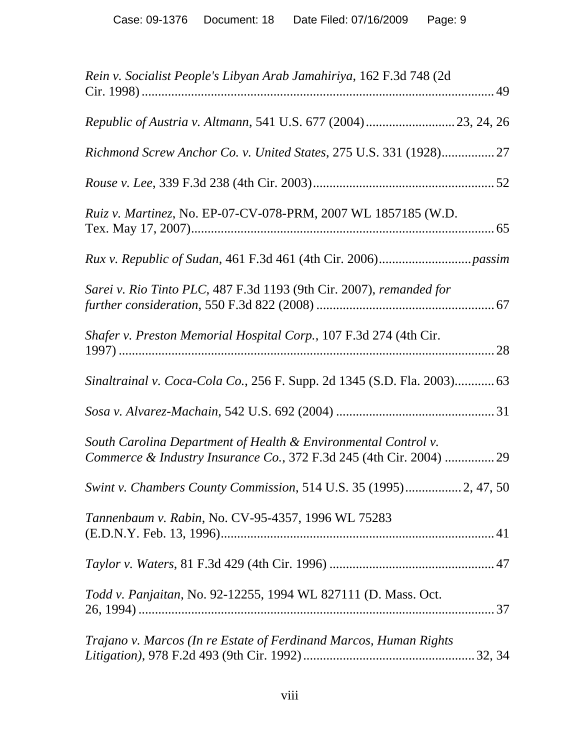| Rein v. Socialist People's Libyan Arab Jamahiriya, 162 F.3d 748 (2d                                                                   |
|---------------------------------------------------------------------------------------------------------------------------------------|
|                                                                                                                                       |
| Richmond Screw Anchor Co. v. United States, 275 U.S. 331 (1928)27                                                                     |
|                                                                                                                                       |
| Ruiz v. Martinez, No. EP-07-CV-078-PRM, 2007 WL 1857185 (W.D.                                                                         |
|                                                                                                                                       |
| Sarei v. Rio Tinto PLC, 487 F.3d 1193 (9th Cir. 2007), remanded for                                                                   |
| Shafer v. Preston Memorial Hospital Corp., 107 F.3d 274 (4th Cir.                                                                     |
| Sinaltrainal v. Coca-Cola Co., 256 F. Supp. 2d 1345 (S.D. Fla. 2003) 63                                                               |
|                                                                                                                                       |
| South Carolina Department of Health & Environmental Control v.<br>Commerce & Industry Insurance Co., 372 F.3d 245 (4th Cir. 2004)  29 |
| Swint v. Chambers County Commission, 514 U.S. 35 (1995)2, 47, 50                                                                      |
| <i>Tannenbaum v. Rabin, No. CV-95-4357, 1996 WL 75283</i>                                                                             |
|                                                                                                                                       |
| Todd v. Panjaitan, No. 92-12255, 1994 WL 827111 (D. Mass. Oct.                                                                        |
| Trajano v. Marcos (In re Estate of Ferdinand Marcos, Human Rights                                                                     |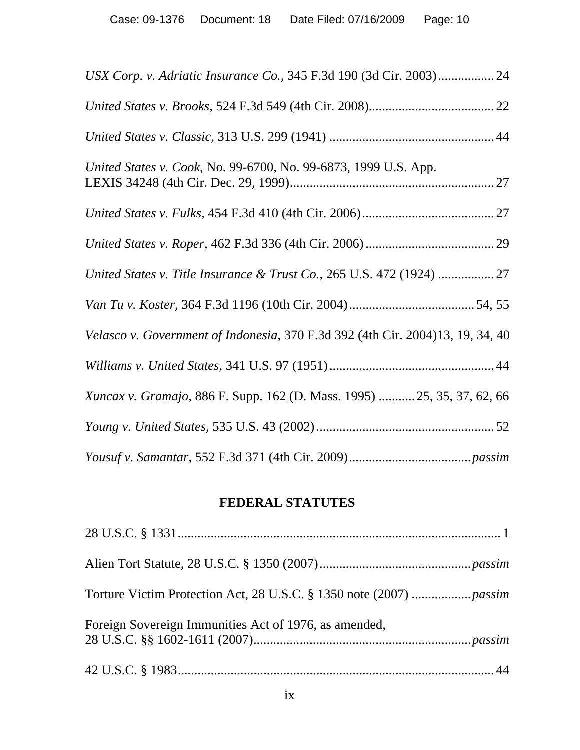| USX Corp. v. Adriatic Insurance Co., 345 F.3d 190 (3d Cir. 2003) 24            |
|--------------------------------------------------------------------------------|
|                                                                                |
|                                                                                |
| United States v. Cook, No. 99-6700, No. 99-6873, 1999 U.S. App.                |
|                                                                                |
|                                                                                |
| United States v. Title Insurance & Trust Co., 265 U.S. 472 (1924)  27          |
|                                                                                |
| Velasco v. Government of Indonesia, 370 F.3d 392 (4th Cir. 2004)13, 19, 34, 40 |
|                                                                                |
| Xuncax v. Gramajo, 886 F. Supp. 162 (D. Mass. 1995)  25, 35, 37, 62, 66        |
|                                                                                |
|                                                                                |

## **FEDERAL STATUTES**

| Foreign Sovereign Immunities Act of 1976, as amended, |  |
|-------------------------------------------------------|--|
|                                                       |  |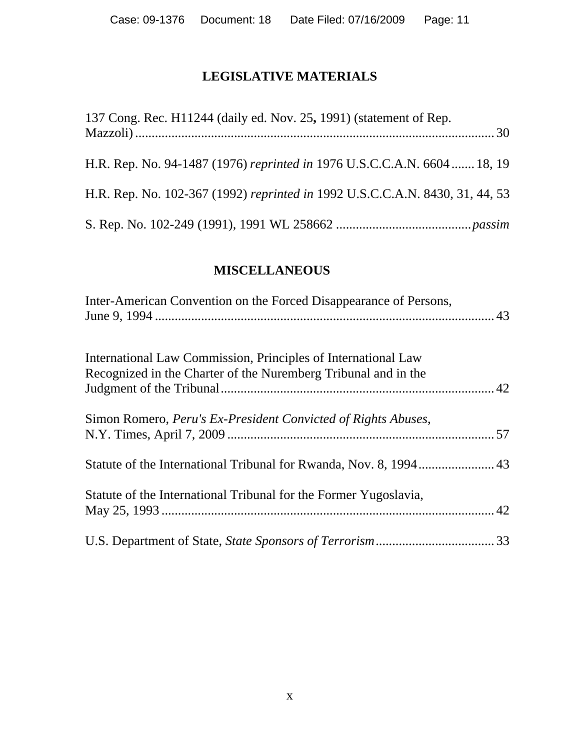# **LEGISLATIVE MATERIALS**

| 137 Cong. Rec. H11244 (daily ed. Nov. 25, 1991) (statement of Rep.           |  |
|------------------------------------------------------------------------------|--|
|                                                                              |  |
| H.R. Rep. No. 94-1487 (1976) reprinted in 1976 U.S.C.C.A.N. 6604  18, 19     |  |
| H.R. Rep. No. 102-367 (1992) reprinted in 1992 U.S.C.C.A.N. 8430, 31, 44, 53 |  |
|                                                                              |  |

## **MISCELLANEOUS**

| Inter-American Convention on the Forced Disappearance of Persons,                                                               |  |
|---------------------------------------------------------------------------------------------------------------------------------|--|
| International Law Commission, Principles of International Law<br>Recognized in the Charter of the Nuremberg Tribunal and in the |  |
|                                                                                                                                 |  |
| Simon Romero, Peru's Ex-President Convicted of Rights Abuses,                                                                   |  |
|                                                                                                                                 |  |
| Statute of the International Tribunal for the Former Yugoslavia,                                                                |  |
|                                                                                                                                 |  |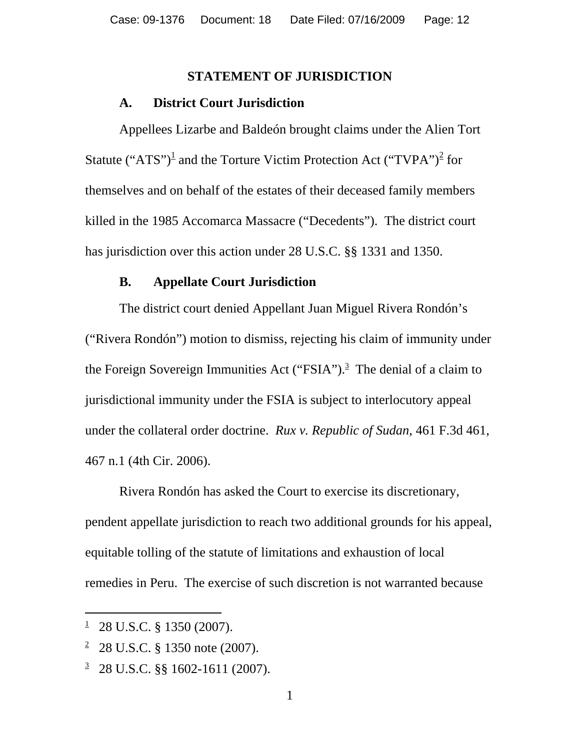#### **STATEMENT OF JURISDICTION**

#### **A. District Court Jurisdiction**

Appellees Lizarbe and Baldeón brought claims under the Alien Tort Statute ("ATS")<sup> $\perp$ </sup> and the Torture Victim Protection Act ("TVPA")<sup>2</sup> for themselves and on behalf of the estates of their deceased family members killed in the 1985 Accomarca Massacre ("Decedents"). The district court has jurisdiction over this action under 28 U.S.C. §§ 1331 and 1350.

#### **B. Appellate Court Jurisdiction**

The district court denied Appellant Juan Miguel Rivera Rondón's ("Rivera Rondón") motion to dismiss, rejecting his claim of immunity under the Foreign Sovereign Immunities Act ("FSIA"). $^3$  The denial of a claim to jurisdictional immunity under the FSIA is subject to interlocutory appeal under the collateral order doctrine. *Rux v. Republic of Sudan*, 461 F.3d 461, 467 n.1 (4th Cir. 2006).

Rivera Rondón has asked the Court to exercise its discretionary, pendent appellate jurisdiction to reach two additional grounds for his appeal, equitable tolling of the statute of limitations and exhaustion of local remedies in Peru. The exercise of such discretion is not warranted because

 $\overline{a}$ 

 $1\quad 28$  U.S.C. § 1350 (2007).

<sup>&</sup>lt;sup>2</sup> 28 U.S.C. § 1350 note (2007).

 $3\overline{28}$  U.S.C. §§ 1602-1611 (2007).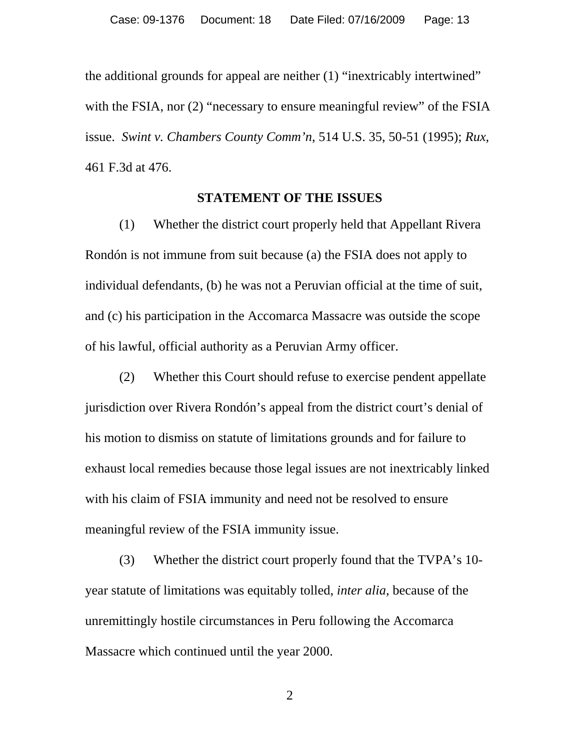the additional grounds for appeal are neither (1) "inextricably intertwined" with the FSIA, nor (2) "necessary to ensure meaningful review" of the FSIA issue. *Swint v. Chambers County Comm'n*, 514 U.S. 35, 50-51 (1995); *Rux*, 461 F.3d at 476.

#### **STATEMENT OF THE ISSUES**

(1) Whether the district court properly held that Appellant Rivera Rondón is not immune from suit because (a) the FSIA does not apply to individual defendants, (b) he was not a Peruvian official at the time of suit, and (c) his participation in the Accomarca Massacre was outside the scope of his lawful, official authority as a Peruvian Army officer.

(2) Whether this Court should refuse to exercise pendent appellate jurisdiction over Rivera Rondón's appeal from the district court's denial of his motion to dismiss on statute of limitations grounds and for failure to exhaust local remedies because those legal issues are not inextricably linked with his claim of FSIA immunity and need not be resolved to ensure meaningful review of the FSIA immunity issue.

(3) Whether the district court properly found that the TVPA's 10 year statute of limitations was equitably tolled, *inter alia*, because of the unremittingly hostile circumstances in Peru following the Accomarca Massacre which continued until the year 2000.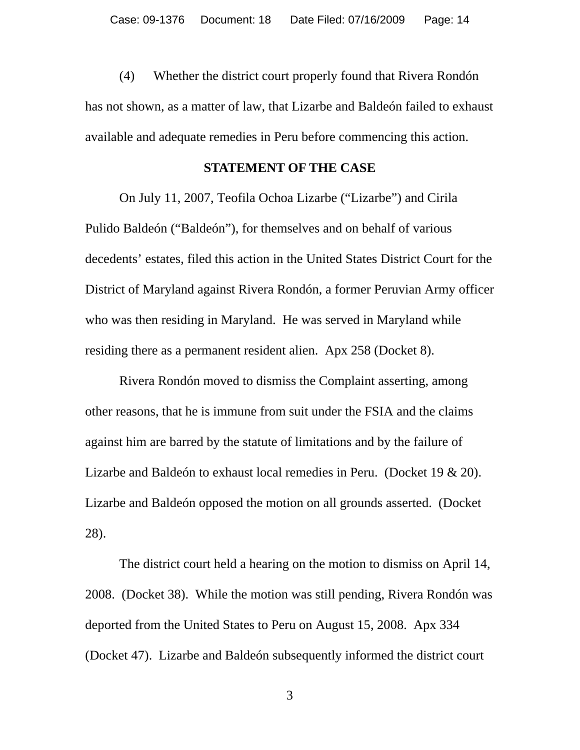(4) Whether the district court properly found that Rivera Rondón has not shown, as a matter of law, that Lizarbe and Baldeón failed to exhaust available and adequate remedies in Peru before commencing this action.

#### **STATEMENT OF THE CASE**

On July 11, 2007, Teofila Ochoa Lizarbe ("Lizarbe") and Cirila Pulido Baldeón ("Baldeón"), for themselves and on behalf of various decedents' estates, filed this action in the United States District Court for the District of Maryland against Rivera Rondón, a former Peruvian Army officer who was then residing in Maryland. He was served in Maryland while residing there as a permanent resident alien. Apx 258 (Docket 8).

Rivera Rondón moved to dismiss the Complaint asserting, among other reasons, that he is immune from suit under the FSIA and the claims against him are barred by the statute of limitations and by the failure of Lizarbe and Baldeón to exhaust local remedies in Peru. (Docket 19 & 20). Lizarbe and Baldeón opposed the motion on all grounds asserted. (Docket 28).

The district court held a hearing on the motion to dismiss on April 14, 2008. (Docket 38). While the motion was still pending, Rivera Rondón was deported from the United States to Peru on August 15, 2008. Apx 334 (Docket 47). Lizarbe and Baldeón subsequently informed the district court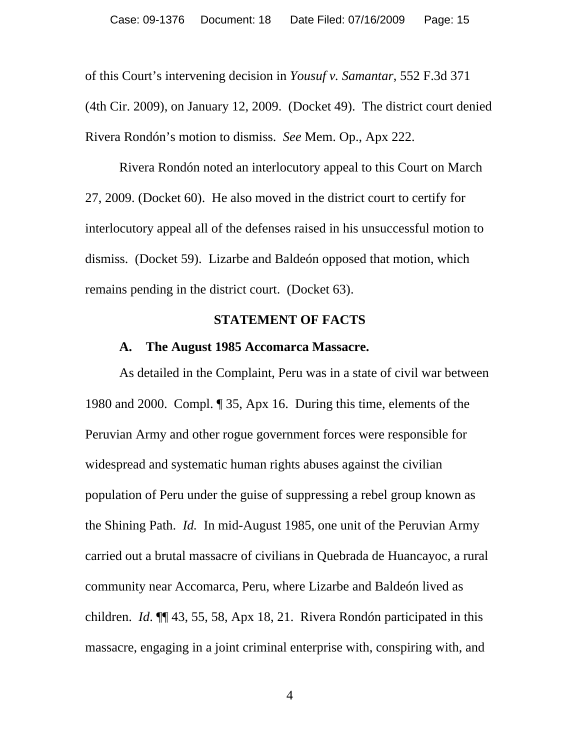of this Court's intervening decision in *Yousuf v. Samantar*, 552 F.3d 371 (4th Cir. 2009), on January 12, 2009. (Docket 49). The district court denied Rivera Rondón's motion to dismiss. *See* Mem. Op., Apx 222.

Rivera Rondón noted an interlocutory appeal to this Court on March 27, 2009. (Docket 60). He also moved in the district court to certify for interlocutory appeal all of the defenses raised in his unsuccessful motion to dismiss. (Docket 59). Lizarbe and Baldeón opposed that motion, which remains pending in the district court. (Docket 63).

#### **STATEMENT OF FACTS**

#### **A. The August 1985 Accomarca Massacre.**

As detailed in the Complaint, Peru was in a state of civil war between 1980 and 2000. Compl. ¶ 35, Apx 16. During this time, elements of the Peruvian Army and other rogue government forces were responsible for widespread and systematic human rights abuses against the civilian population of Peru under the guise of suppressing a rebel group known as the Shining Path. *Id.* In mid-August 1985, one unit of the Peruvian Army carried out a brutal massacre of civilians in Quebrada de Huancayoc, a rural community near Accomarca, Peru, where Lizarbe and Baldeón lived as children. *Id*. ¶¶ 43, 55, 58, Apx 18, 21. Rivera Rondón participated in this massacre, engaging in a joint criminal enterprise with, conspiring with, and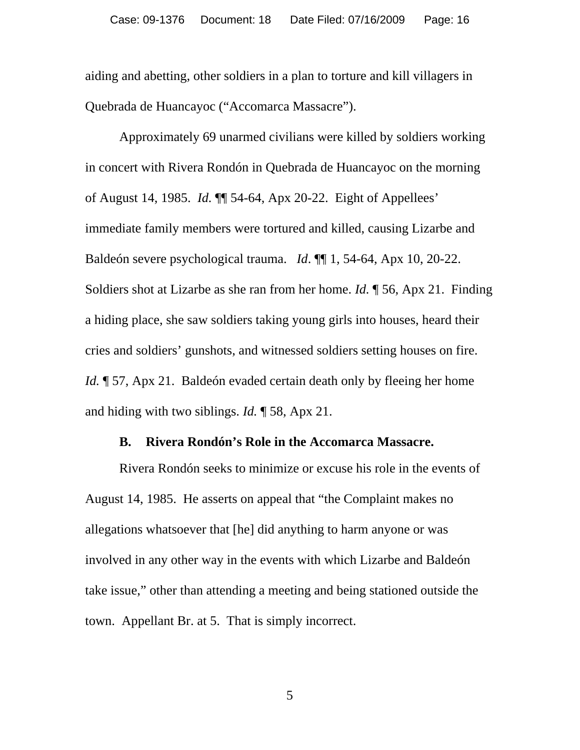aiding and abetting, other soldiers in a plan to torture and kill villagers in Quebrada de Huancayoc ("Accomarca Massacre").

Approximately 69 unarmed civilians were killed by soldiers working in concert with Rivera Rondón in Quebrada de Huancayoc on the morning of August 14, 1985. *Id.* ¶¶ 54-64, Apx 20-22. Eight of Appellees' immediate family members were tortured and killed, causing Lizarbe and Baldeón severe psychological trauma. *Id*. ¶¶ 1, 54-64, Apx 10, 20-22. Soldiers shot at Lizarbe as she ran from her home. *Id.* ¶ 56, Apx 21. Finding a hiding place, she saw soldiers taking young girls into houses, heard their cries and soldiers' gunshots, and witnessed soldiers setting houses on fire. *Id.* ¶ 57, Apx 21. Baldeón evaded certain death only by fleeing her home and hiding with two siblings. *Id.* ¶ 58, Apx 21.

#### **B. Rivera Rondón's Role in the Accomarca Massacre.**

Rivera Rondón seeks to minimize or excuse his role in the events of August 14, 1985. He asserts on appeal that "the Complaint makes no allegations whatsoever that [he] did anything to harm anyone or was involved in any other way in the events with which Lizarbe and Baldeón take issue," other than attending a meeting and being stationed outside the town. Appellant Br. at 5. That is simply incorrect.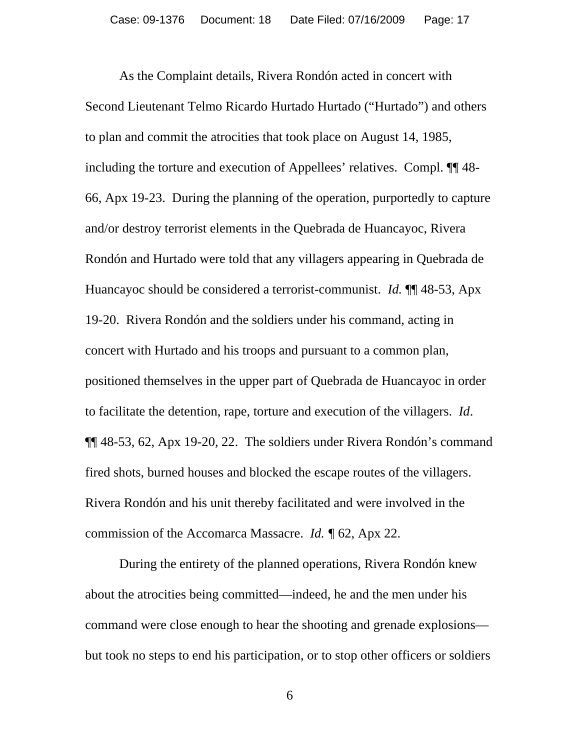As the Complaint details, Rivera Rondón acted in concert with Second Lieutenant Telmo Ricardo Hurtado Hurtado ("Hurtado") and others to plan and commit the atrocities that took place on August 14, 1985, including the torture and execution of Appellees' relatives. Compl. ¶¶ 48- 66, Apx 19-23. During the planning of the operation, purportedly to capture and/or destroy terrorist elements in the Quebrada de Huancayoc, Rivera Rondón and Hurtado were told that any villagers appearing in Quebrada de Huancayoc should be considered a terrorist-communist. *Id.* ¶¶ 48-53, Apx 19-20. Rivera Rondón and the soldiers under his command, acting in concert with Hurtado and his troops and pursuant to a common plan, positioned themselves in the upper part of Quebrada de Huancayoc in order to facilitate the detention, rape, torture and execution of the villagers. *Id*. ¶¶ 48-53, 62, Apx 19-20, 22. The soldiers under Rivera Rondón's command fired shots, burned houses and blocked the escape routes of the villagers. Rivera Rondón and his unit thereby facilitated and were involved in the commission of the Accomarca Massacre. *Id. ¶* 62, Apx 22.

During the entirety of the planned operations, Rivera Rondón knew about the atrocities being committed—indeed, he and the men under his command were close enough to hear the shooting and grenade explosions but took no steps to end his participation, or to stop other officers or soldiers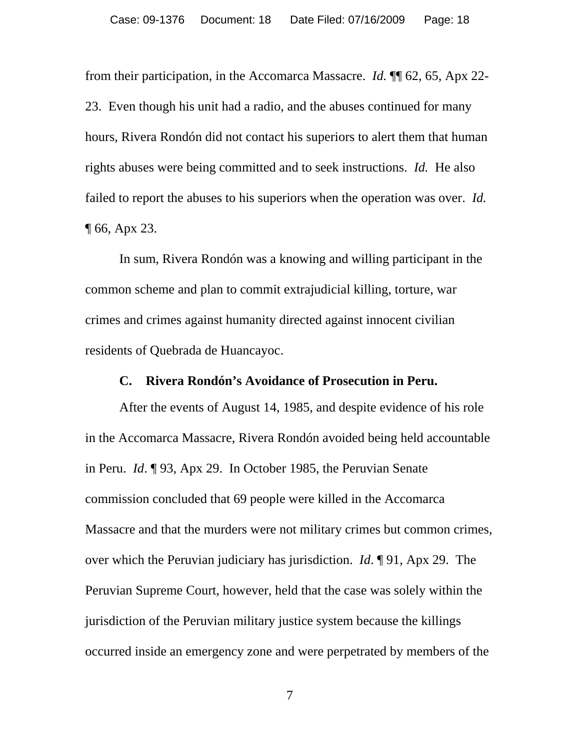from their participation, in the Accomarca Massacre. *Id.* ¶¶ 62, 65, Apx 22- 23. Even though his unit had a radio, and the abuses continued for many hours, Rivera Rondón did not contact his superiors to alert them that human rights abuses were being committed and to seek instructions. *Id.* He also failed to report the abuses to his superiors when the operation was over. *Id.* ¶ 66, Apx 23.

In sum, Rivera Rondón was a knowing and willing participant in the common scheme and plan to commit extrajudicial killing, torture, war crimes and crimes against humanity directed against innocent civilian residents of Quebrada de Huancayoc.

#### **C. Rivera Rondón's Avoidance of Prosecution in Peru.**

After the events of August 14, 1985, and despite evidence of his role in the Accomarca Massacre, Rivera Rondón avoided being held accountable in Peru. *Id*. ¶ 93, Apx 29. In October 1985, the Peruvian Senate commission concluded that 69 people were killed in the Accomarca Massacre and that the murders were not military crimes but common crimes, over which the Peruvian judiciary has jurisdiction. *Id*. ¶ 91, Apx 29. The Peruvian Supreme Court, however, held that the case was solely within the jurisdiction of the Peruvian military justice system because the killings occurred inside an emergency zone and were perpetrated by members of the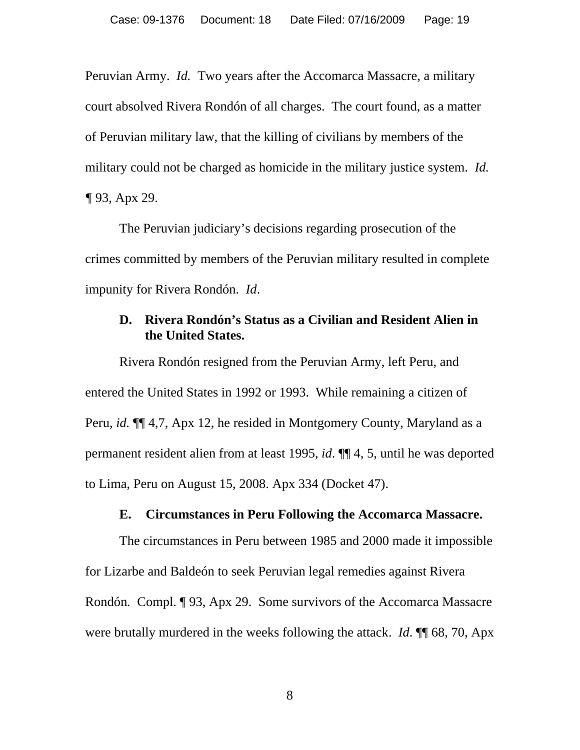Peruvian Army. *Id.* Two years after the Accomarca Massacre, a military court absolved Rivera Rondón of all charges. The court found, as a matter of Peruvian military law, that the killing of civilians by members of the military could not be charged as homicide in the military justice system. *Id. ¶* 93, Apx 29.

The Peruvian judiciary's decisions regarding prosecution of the crimes committed by members of the Peruvian military resulted in complete impunity for Rivera Rondón. *Id*.

## **D. Rivera Rondón's Status as a Civilian and Resident Alien in the United States.**

Rivera Rondón resigned from the Peruvian Army, left Peru, and entered the United States in 1992 or 1993. While remaining a citizen of Peru, *id.* ¶¶ 4,7, Apx 12, he resided in Montgomery County, Maryland as a permanent resident alien from at least 1995, *id*. ¶¶ 4, 5, until he was deported to Lima, Peru on August 15, 2008. Apx 334 (Docket 47).

#### **E. Circumstances in Peru Following the Accomarca Massacre.**

The circumstances in Peru between 1985 and 2000 made it impossible for Lizarbe and Baldeón to seek Peruvian legal remedies against Rivera Rondón*.* Compl. ¶ 93, Apx 29. Some survivors of the Accomarca Massacre were brutally murdered in the weeks following the attack. *Id*. ¶¶ 68, 70, Apx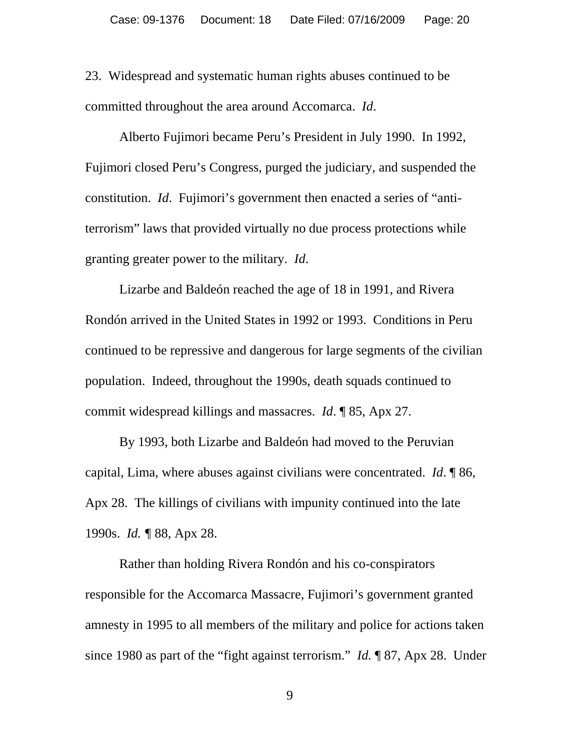23. Widespread and systematic human rights abuses continued to be committed throughout the area around Accomarca. *Id*.

Alberto Fujimori became Peru's President in July 1990. In 1992, Fujimori closed Peru's Congress, purged the judiciary, and suspended the constitution. *Id*. Fujimori's government then enacted a series of "antiterrorism" laws that provided virtually no due process protections while granting greater power to the military. *Id*.

Lizarbe and Baldeón reached the age of 18 in 1991, and Rivera Rondón arrived in the United States in 1992 or 1993. Conditions in Peru continued to be repressive and dangerous for large segments of the civilian population. Indeed, throughout the 1990s, death squads continued to commit widespread killings and massacres. *Id*. ¶ 85, Apx 27.

By 1993, both Lizarbe and Baldeón had moved to the Peruvian capital, Lima, where abuses against civilians were concentrated. *Id*. ¶ 86, Apx 28. The killings of civilians with impunity continued into the late 1990s. *Id. ¶* 88, Apx 28.

Rather than holding Rivera Rondón and his co-conspirators responsible for the Accomarca Massacre, Fujimori's government granted amnesty in 1995 to all members of the military and police for actions taken since 1980 as part of the "fight against terrorism." *Id.* ¶ 87, Apx 28. Under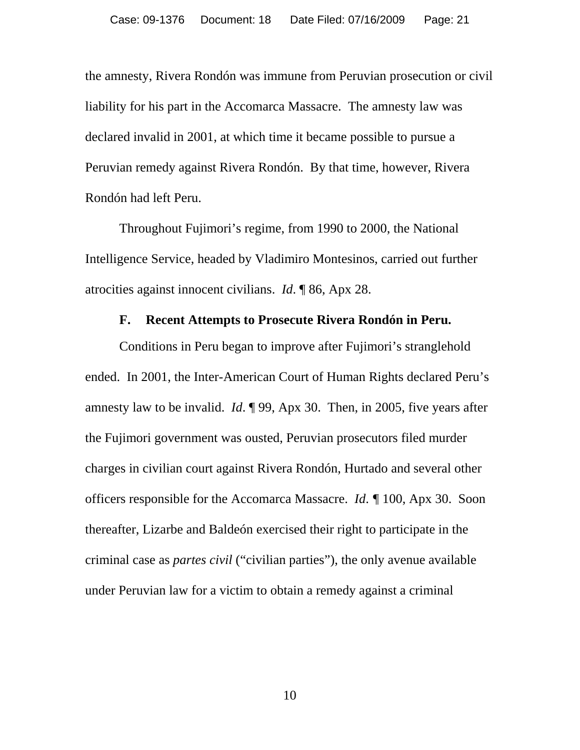the amnesty, Rivera Rondón was immune from Peruvian prosecution or civil liability for his part in the Accomarca Massacre. The amnesty law was declared invalid in 2001, at which time it became possible to pursue a Peruvian remedy against Rivera Rondón. By that time, however, Rivera Rondón had left Peru.

Throughout Fujimori's regime, from 1990 to 2000, the National Intelligence Service, headed by Vladimiro Montesinos, carried out further atrocities against innocent civilians. *Id*. ¶ 86, Apx 28.

#### **F. Recent Attempts to Prosecute Rivera Rondón in Peru.**

Conditions in Peru began to improve after Fujimori's stranglehold ended. In 2001, the Inter-American Court of Human Rights declared Peru's amnesty law to be invalid. *Id*. ¶ 99, Apx 30. Then, in 2005, five years after the Fujimori government was ousted, Peruvian prosecutors filed murder charges in civilian court against Rivera Rondón, Hurtado and several other officers responsible for the Accomarca Massacre. *Id*. *¶* 100, Apx 30. Soon thereafter, Lizarbe and Baldeón exercised their right to participate in the criminal case as *partes civil* ("civilian parties"), the only avenue available under Peruvian law for a victim to obtain a remedy against a criminal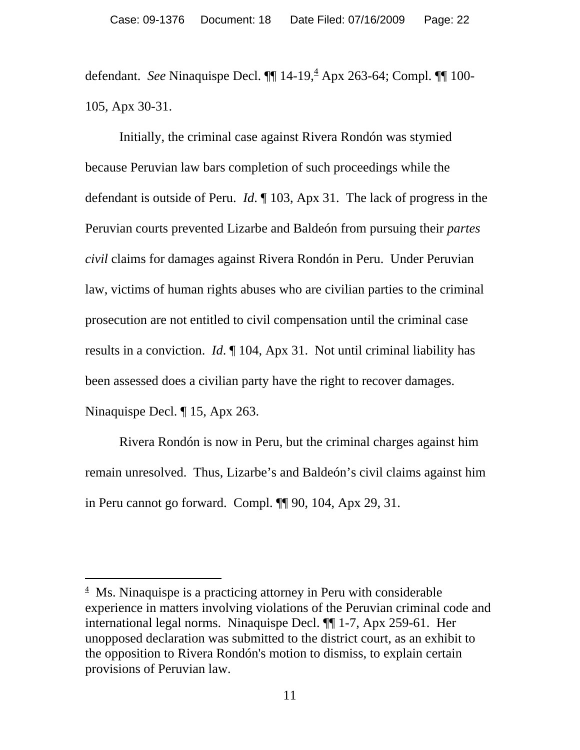defendant. *See* Ninaquispe Decl. **[**| 14-19,<sup>4</sup> Apx 263-64; Compl. **[**| 100-105, Apx 30-31.

Initially, the criminal case against Rivera Rondón was stymied because Peruvian law bars completion of such proceedings while the defendant is outside of Peru. *Id*. ¶ 103, Apx 31. The lack of progress in the Peruvian courts prevented Lizarbe and Baldeón from pursuing their *partes civil* claims for damages against Rivera Rondón in Peru. Under Peruvian law, victims of human rights abuses who are civilian parties to the criminal prosecution are not entitled to civil compensation until the criminal case results in a conviction. *Id*. ¶ 104, Apx 31. Not until criminal liability has been assessed does a civilian party have the right to recover damages. Ninaquispe Decl. ¶ 15, Apx 263.

Rivera Rondón is now in Peru, but the criminal charges against him remain unresolved. Thus, Lizarbe's and Baldeón's civil claims against him in Peru cannot go forward. Compl. ¶¶ 90, 104, Apx 29, 31.

 $\overline{a}$ 

 $4$  Ms. Ninaquispe is a practicing attorney in Peru with considerable experience in matters involving violations of the Peruvian criminal code and international legal norms. Ninaquispe Decl. ¶¶ 1-7, Apx 259-61. Her unopposed declaration was submitted to the district court, as an exhibit to the opposition to Rivera Rondón's motion to dismiss, to explain certain provisions of Peruvian law.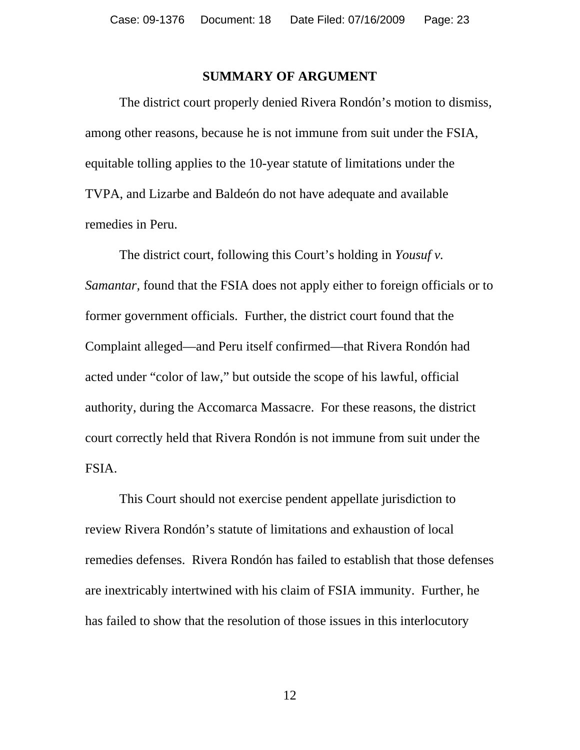#### **SUMMARY OF ARGUMENT**

The district court properly denied Rivera Rondón's motion to dismiss, among other reasons, because he is not immune from suit under the FSIA, equitable tolling applies to the 10-year statute of limitations under the TVPA, and Lizarbe and Baldeón do not have adequate and available remedies in Peru.

The district court, following this Court's holding in *Yousuf v. Samantar,* found that the FSIA does not apply either to foreign officials or to former government officials. Further, the district court found that the Complaint alleged—and Peru itself confirmed—that Rivera Rondón had acted under "color of law," but outside the scope of his lawful, official authority, during the Accomarca Massacre. For these reasons, the district court correctly held that Rivera Rondón is not immune from suit under the FSIA.

This Court should not exercise pendent appellate jurisdiction to review Rivera Rondón's statute of limitations and exhaustion of local remedies defenses. Rivera Rondón has failed to establish that those defenses are inextricably intertwined with his claim of FSIA immunity. Further, he has failed to show that the resolution of those issues in this interlocutory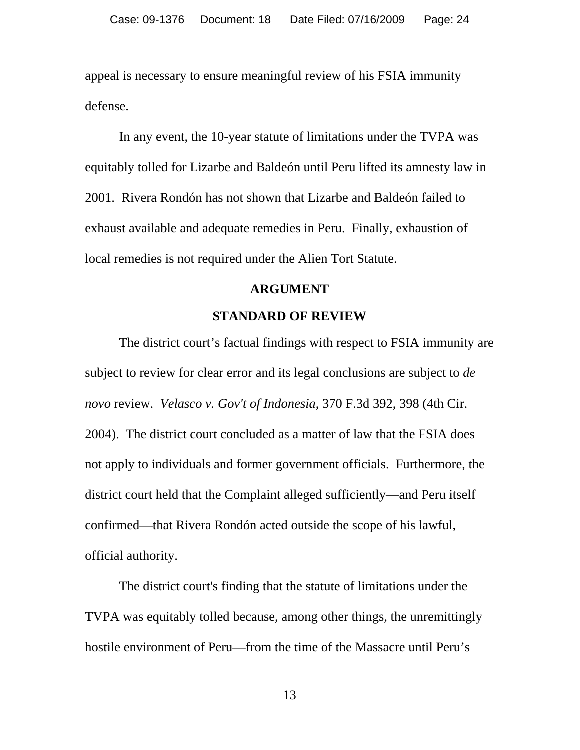appeal is necessary to ensure meaningful review of his FSIA immunity defense.

In any event, the 10-year statute of limitations under the TVPA was equitably tolled for Lizarbe and Baldeón until Peru lifted its amnesty law in 2001. Rivera Rondón has not shown that Lizarbe and Baldeón failed to exhaust available and adequate remedies in Peru. Finally, exhaustion of local remedies is not required under the Alien Tort Statute.

#### **ARGUMENT**

#### **STANDARD OF REVIEW**

The district court's factual findings with respect to FSIA immunity are subject to review for clear error and its legal conclusions are subject to *de novo* review. *Velasco v. Gov't of Indonesia*, 370 F.3d 392, 398 (4th Cir. 2004). The district court concluded as a matter of law that the FSIA does not apply to individuals and former government officials. Furthermore, the district court held that the Complaint alleged sufficiently—and Peru itself confirmed—that Rivera Rondón acted outside the scope of his lawful, official authority.

 The district court's finding that the statute of limitations under the TVPA was equitably tolled because, among other things, the unremittingly hostile environment of Peru—from the time of the Massacre until Peru's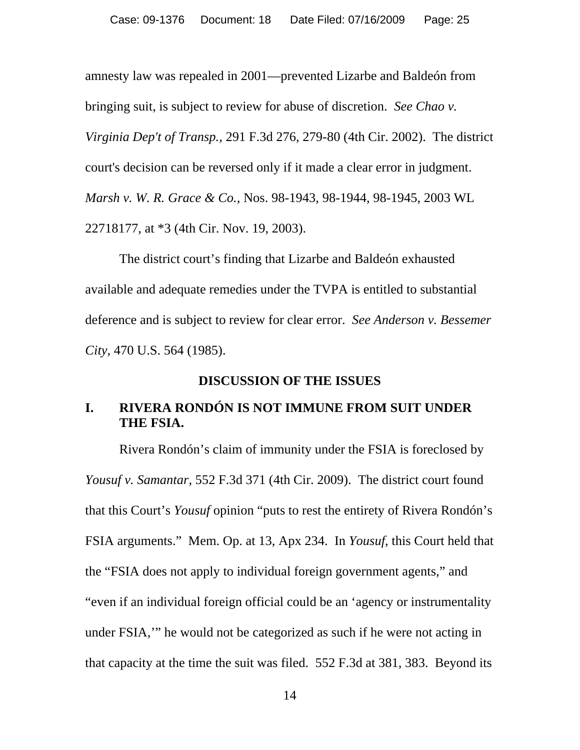amnesty law was repealed in 2001—prevented Lizarbe and Baldeón from bringing suit, is subject to review for abuse of discretion. *See Chao v. Virginia Dep't of Transp.*, 291 F.3d 276, 279-80 (4th Cir. 2002). The district court's decision can be reversed only if it made a clear error in judgment. *Marsh v. W. R. Grace & Co.,* Nos. 98-1943, 98-1944, 98-1945, 2003 WL 22718177, at \*3 (4th Cir. Nov. 19, 2003).

The district court's finding that Lizarbe and Baldeón exhausted available and adequate remedies under the TVPA is entitled to substantial deference and is subject to review for clear error. *See Anderson v. Bessemer City*, 470 U.S. 564 (1985).

#### **DISCUSSION OF THE ISSUES**

## **I. RIVERA RONDÓN IS NOT IMMUNE FROM SUIT UNDER THE FSIA.**

Rivera Rondón's claim of immunity under the FSIA is foreclosed by *Yousuf v. Samantar*, 552 F.3d 371 (4th Cir. 2009). The district court found that this Court's *Yousuf* opinion "puts to rest the entirety of Rivera Rondón's FSIA arguments." Mem. Op. at 13, Apx 234. In *Yousuf*, this Court held that the "FSIA does not apply to individual foreign government agents," and "even if an individual foreign official could be an 'agency or instrumentality under FSIA,'" he would not be categorized as such if he were not acting in that capacity at the time the suit was filed. 552 F.3d at 381, 383. Beyond its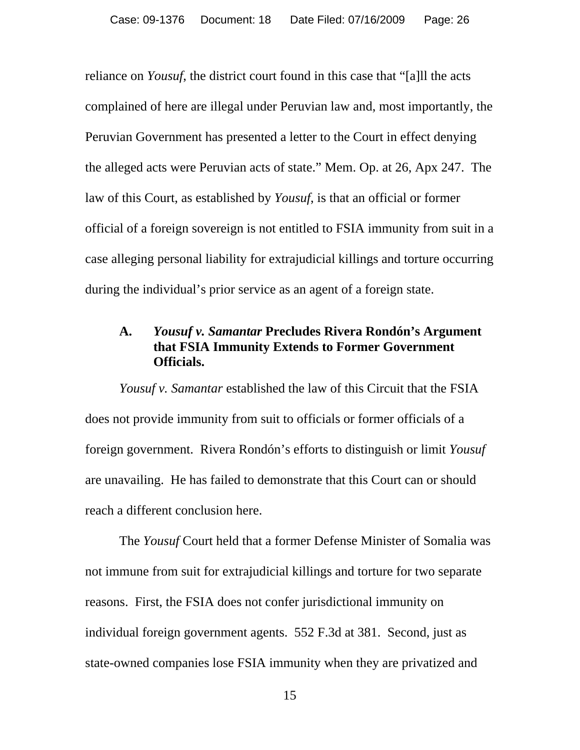reliance on *Yousuf*, the district court found in this case that "[a]ll the acts complained of here are illegal under Peruvian law and, most importantly, the Peruvian Government has presented a letter to the Court in effect denying the alleged acts were Peruvian acts of state." Mem. Op. at 26, Apx 247. The law of this Court, as established by *Yousuf*, is that an official or former official of a foreign sovereign is not entitled to FSIA immunity from suit in a case alleging personal liability for extrajudicial killings and torture occurring during the individual's prior service as an agent of a foreign state.

## **A.** *Yousuf v. Samantar* **Precludes Rivera Rondón's Argument that FSIA Immunity Extends to Former Government Officials.**

*Yousuf v. Samantar* established the law of this Circuit that the FSIA does not provide immunity from suit to officials or former officials of a foreign government. Rivera Rondón's efforts to distinguish or limit *Yousuf*  are unavailing. He has failed to demonstrate that this Court can or should reach a different conclusion here.

The *Yousuf* Court held that a former Defense Minister of Somalia was not immune from suit for extrajudicial killings and torture for two separate reasons. First, the FSIA does not confer jurisdictional immunity on individual foreign government agents. 552 F.3d at 381. Second, just as state-owned companies lose FSIA immunity when they are privatized and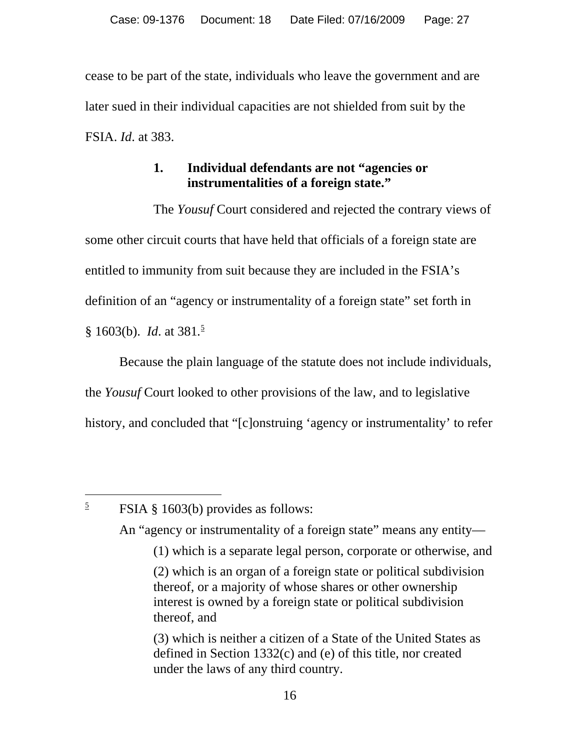cease to be part of the state, individuals who leave the government and are later sued in their individual capacities are not shielded from suit by the FSIA. *Id*. at 383.

## **1. Individual defendants are not "agencies or instrumentalities of a foreign state."**

 The *Yousuf* Court considered and rejected the contrary views of some other circuit courts that have held that officials of a foreign state are entitled to immunity from suit because they are included in the FSIA's definition of an "agency or instrumentality of a foreign state" set forth in § 1603(b). *Id*. at 381*.* 5

Because the plain language of the statute does not include individuals, the *Yousuf* Court looked to other provisions of the law, and to legislative history, and concluded that "[c]onstruing 'agency or instrumentality' to refer

5 FSIA § 1603(b) provides as follows:

-

An "agency or instrumentality of a foreign state" means any entity—

(1) which is a separate legal person, corporate or otherwise, and

 (2) which is an organ of a foreign state or political subdivision thereof, or a majority of whose shares or other ownership interest is owned by a foreign state or political subdivision thereof, and

 (3) which is neither a citizen of a State of the United States as defined in Section 1332(c) and (e) of this title, nor created under the laws of any third country.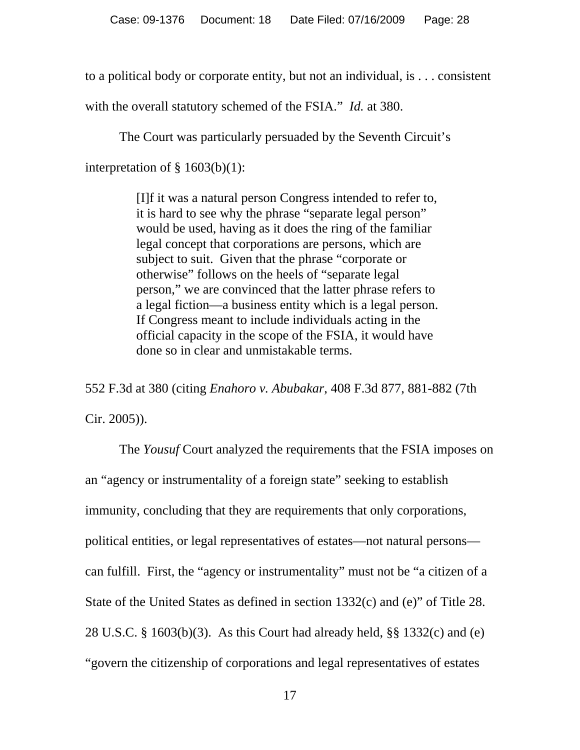to a political body or corporate entity, but not an individual, is . . . consistent

with the overall statutory schemed of the FSIA." *Id.* at 380.

The Court was particularly persuaded by the Seventh Circuit's

interpretation of  $\S$  1603(b)(1):

[I]f it was a natural person Congress intended to refer to, it is hard to see why the phrase "separate legal person" would be used, having as it does the ring of the familiar legal concept that corporations are persons, which are subject to suit. Given that the phrase "corporate or otherwise" follows on the heels of "separate legal person," we are convinced that the latter phrase refers to a legal fiction—a business entity which is a legal person. If Congress meant to include individuals acting in the official capacity in the scope of the FSIA, it would have done so in clear and unmistakable terms.

552 F.3d at 380 (citing *Enahoro v. Abubakar*, 408 F.3d 877, 881-882 (7th Cir. 2005)).

The *Yousuf* Court analyzed the requirements that the FSIA imposes on an "agency or instrumentality of a foreign state" seeking to establish immunity, concluding that they are requirements that only corporations, political entities, or legal representatives of estates—not natural persons can fulfill. First, the "agency or instrumentality" must not be "a citizen of a State of the United States as defined in section 1332(c) and (e)" of Title 28. 28 U.S.C. § 1603(b)(3). As this Court had already held, §§ 1332(c) and (e) "govern the citizenship of corporations and legal representatives of estates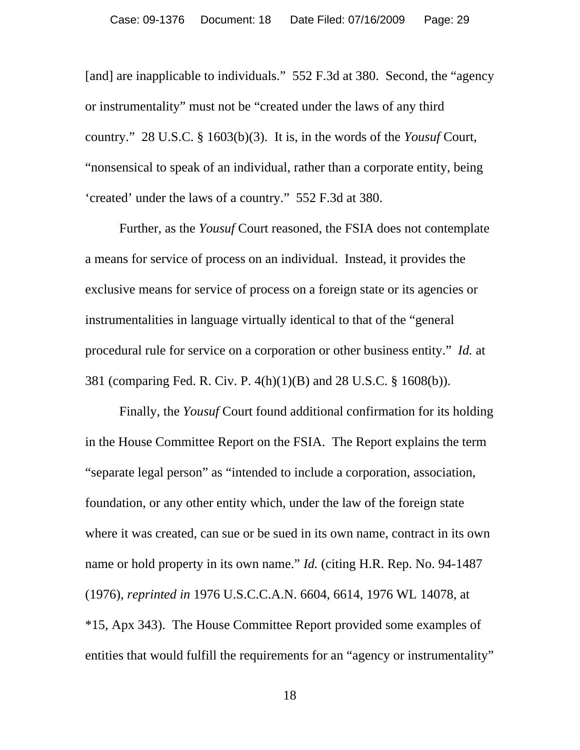[and] are inapplicable to individuals." 552 F.3d at 380. Second, the "agency" or instrumentality" must not be "created under the laws of any third country." 28 U.S.C. § 1603(b)(3). It is, in the words of the *Yousuf* Court, "nonsensical to speak of an individual, rather than a corporate entity, being 'created' under the laws of a country." 552 F.3d at 380.

Further, as the *Yousuf* Court reasoned, the FSIA does not contemplate a means for service of process on an individual. Instead, it provides the exclusive means for service of process on a foreign state or its agencies or instrumentalities in language virtually identical to that of the "general procedural rule for service on a corporation or other business entity." *Id.* at 381 (comparing Fed. R. Civ. P. 4(h)(1)(B) and 28 U.S.C. § 1608(b)).

Finally, the *Yousuf* Court found additional confirmation for its holding in the House Committee Report on the FSIA. The Report explains the term "separate legal person" as "intended to include a corporation, association, foundation, or any other entity which, under the law of the foreign state where it was created, can sue or be sued in its own name, contract in its own name or hold property in its own name." *Id.* (citing H.R. Rep. No. 94-1487 (1976), *reprinted in* 1976 U.S.C.C.A.N. 6604, 6614, 1976 WL 14078, at \*15, Apx 343). The House Committee Report provided some examples of entities that would fulfill the requirements for an "agency or instrumentality"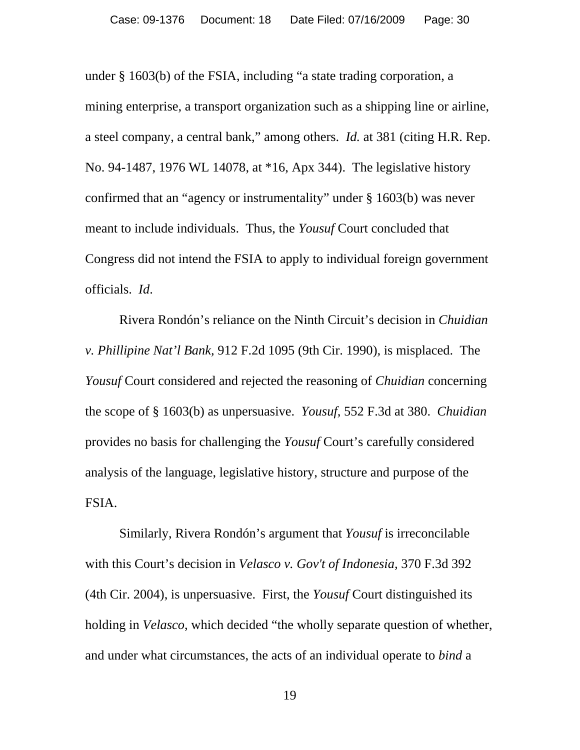under § 1603(b) of the FSIA, including "a state trading corporation, a mining enterprise, a transport organization such as a shipping line or airline, a steel company, a central bank," among others. *Id.* at 381 (citing H.R. Rep. No. 94-1487, 1976 WL 14078, at \*16, Apx 344). The legislative history confirmed that an "agency or instrumentality" under § 1603(b) was never meant to include individuals. Thus, the *Yousuf* Court concluded that Congress did not intend the FSIA to apply to individual foreign government officials. *Id*.

Rivera Rondón's reliance on the Ninth Circuit's decision in *Chuidian v. Phillipine Nat'l Bank,* 912 F.2d 1095 (9th Cir. 1990)*,* is misplaced. The *Yousuf* Court considered and rejected the reasoning of *Chuidian* concerning the scope of § 1603(b) as unpersuasive. *Yousuf,* 552 F.3d at 380. *Chuidian* provides no basis for challenging the *Yousuf* Court's carefully considered analysis of the language, legislative history, structure and purpose of the FSIA.

Similarly, Rivera Rondón's argument that *Yousuf* is irreconcilable with this Court's decision in *Velasco v. Gov't of Indonesia,* 370 F.3d 392 (4th Cir. 2004), is unpersuasive. First, the *Yousuf* Court distinguished its holding in *Velasco*, which decided "the wholly separate question of whether, and under what circumstances, the acts of an individual operate to *bind* a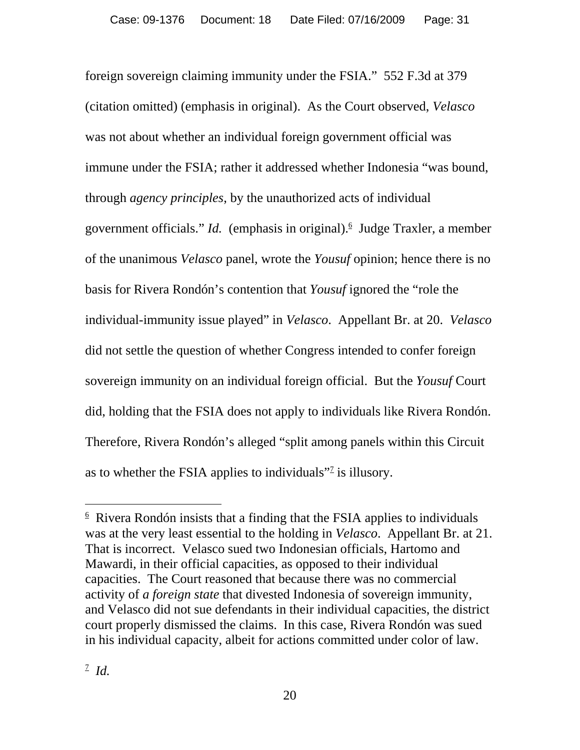foreign sovereign claiming immunity under the FSIA." 552 F.3d at 379 (citation omitted) (emphasis in original). As the Court observed, *Velasco* was not about whether an individual foreign government official was immune under the FSIA; rather it addressed whether Indonesia "was bound, through *agency principles*, by the unauthorized acts of individual government officials." *Id.* (emphasis in original).<sup>6</sup> Judge Traxler, a member of the unanimous *Velasco* panel, wrote the *Yousuf* opinion; hence there is no basis for Rivera Rondón's contention that *Yousuf* ignored the "role the individual-immunity issue played" in *Velasco*. Appellant Br. at 20. *Velasco* did not settle the question of whether Congress intended to confer foreign sovereign immunity on an individual foreign official. But the *Yousuf* Court did, holding that the FSIA does not apply to individuals like Rivera Rondón. Therefore, Rivera Rondón's alleged "split among panels within this Circuit as to whether the FSIA applies to individuals" $\frac{1}{2}$  is illusory.

 $\overline{a}$ 

 $6$  Rivera Rondón insists that a finding that the FSIA applies to individuals was at the very least essential to the holding in *Velasco*. Appellant Br. at 21. That is incorrect. Velasco sued two Indonesian officials, Hartomo and Mawardi, in their official capacities, as opposed to their individual capacities. The Court reasoned that because there was no commercial activity of *a foreign state* that divested Indonesia of sovereign immunity, and Velasco did not sue defendants in their individual capacities, the district court properly dismissed the claims. In this case, Rivera Rondón was sued in his individual capacity, albeit for actions committed under color of law.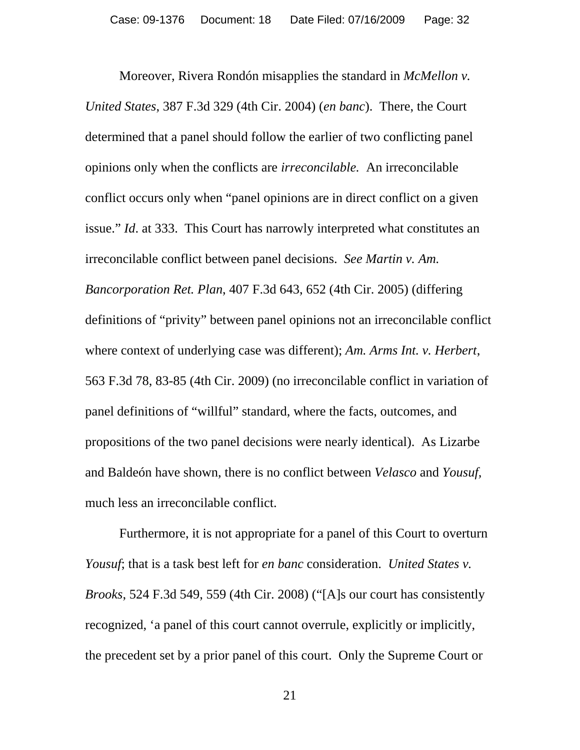Moreover, Rivera Rondón misapplies the standard in *McMellon v. United States*, 387 F.3d 329 (4th Cir. 2004) (*en banc*). There, the Court determined that a panel should follow the earlier of two conflicting panel opinions only when the conflicts are *irreconcilable.* An irreconcilable conflict occurs only when "panel opinions are in direct conflict on a given issue." *Id*. at 333. This Court has narrowly interpreted what constitutes an irreconcilable conflict between panel decisions. *See Martin v. Am. Bancorporation Ret. Plan*, 407 F.3d 643, 652 (4th Cir. 2005) (differing definitions of "privity" between panel opinions not an irreconcilable conflict where context of underlying case was different); *Am. Arms Int. v. Herbert*, 563 F.3d 78, 83-85 (4th Cir. 2009) (no irreconcilable conflict in variation of panel definitions of "willful" standard, where the facts, outcomes, and propositions of the two panel decisions were nearly identical). As Lizarbe and Baldeón have shown, there is no conflict between *Velasco* and *Yousuf,* much less an irreconcilable conflict.

Furthermore, it is not appropriate for a panel of this Court to overturn *Yousuf*; that is a task best left for *en banc* consideration. *United States v. Brooks*, 524 F.3d 549, 559 (4th Cir. 2008) ("[A]s our court has consistently recognized, 'a panel of this court cannot overrule, explicitly or implicitly, the precedent set by a prior panel of this court. Only the Supreme Court or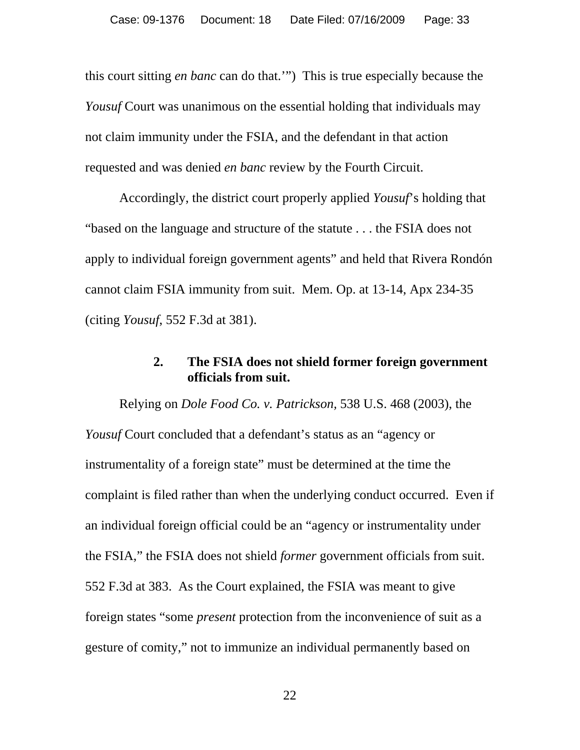this court sitting *en banc* can do that.'") This is true especially because the *Yousuf* Court was unanimous on the essential holding that individuals may not claim immunity under the FSIA, and the defendant in that action requested and was denied *en banc* review by the Fourth Circuit.

Accordingly, the district court properly applied *Yousuf*'s holding that "based on the language and structure of the statute . . . the FSIA does not apply to individual foreign government agents" and held that Rivera Rondón cannot claim FSIA immunity from suit. Mem. Op. at 13-14, Apx 234-35 (citing *Yousuf*, 552 F.3d at 381).

#### **2. The FSIA does not shield former foreign government officials from suit.**

Relying on *Dole Food Co. v. Patrickson,* 538 U.S. 468 (2003), the *Yousuf* Court concluded that a defendant's status as an "agency or instrumentality of a foreign state" must be determined at the time the complaint is filed rather than when the underlying conduct occurred. Even if an individual foreign official could be an "agency or instrumentality under the FSIA," the FSIA does not shield *former* government officials from suit. 552 F.3d at 383.As the Court explained, the FSIA was meant to give foreign states "some *present* protection from the inconvenience of suit as a gesture of comity," not to immunize an individual permanently based on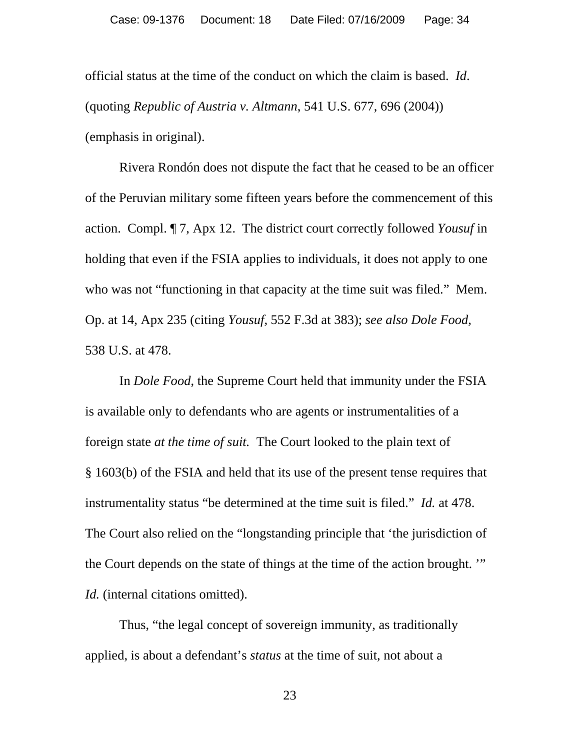official status at the time of the conduct on which the claim is based. *Id*. (quoting *Republic of Austria v. Altmann*, 541 U.S. 677, 696 (2004)) (emphasis in original).

Rivera Rondón does not dispute the fact that he ceased to be an officer of the Peruvian military some fifteen years before the commencement of this action. Compl. ¶ 7, Apx 12. The district court correctly followed *Yousuf* in holding that even if the FSIA applies to individuals, it does not apply to one who was not "functioning in that capacity at the time suit was filed." Mem. Op. at 14, Apx 235 (citing *Yousuf,* 552 F.3d at 383); *see also Dole Food,*  538 U.S. at 478.

In *Dole Food*, the Supreme Court held that immunity under the FSIA is available only to defendants who are agents or instrumentalities of a foreign state *at the time of suit.* The Court looked to the plain text of § 1603(b) of the FSIA and held that its use of the present tense requires that instrumentality status "be determined at the time suit is filed." *Id.* at 478. The Court also relied on the "longstanding principle that 'the jurisdiction of the Court depends on the state of things at the time of the action brought. '" *Id.* (internal citations omitted).

Thus, "the legal concept of sovereign immunity, as traditionally applied, is about a defendant's *status* at the time of suit, not about a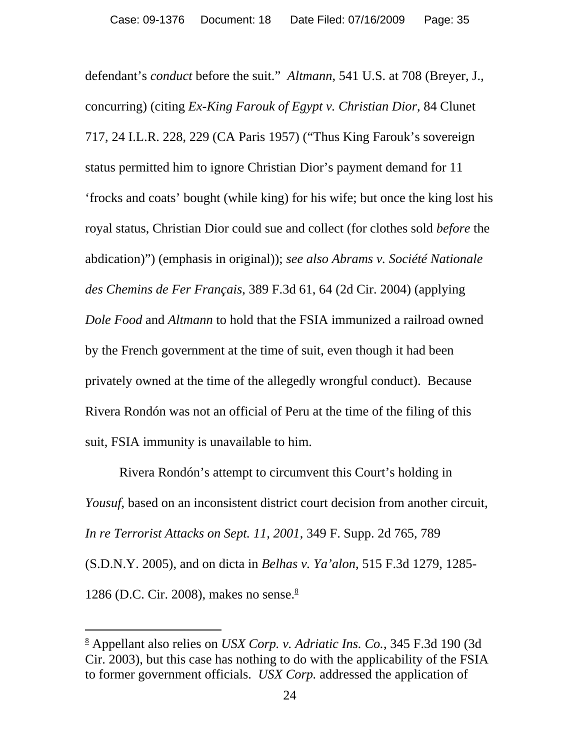defendant's *conduct* before the suit." *Altmann*, 541 U.S. at 708 (Breyer, J., concurring) (citing *Ex-King Farouk of Egypt v. Christian Dior*, 84 Clunet 717, 24 I.L.R. 228, 229 (CA Paris 1957) ("Thus King Farouk's sovereign status permitted him to ignore Christian Dior's payment demand for 11 'frocks and coats' bought (while king) for his wife; but once the king lost his royal status, Christian Dior could sue and collect (for clothes sold *before* the abdication)") (emphasis in original)); *see also Abrams v. Société Nationale des Chemins de Fer Français*, 389 F.3d 61, 64 (2d Cir. 2004) (applying *Dole Food* and *Altmann* to hold that the FSIA immunized a railroad owned by the French government at the time of suit, even though it had been privately owned at the time of the allegedly wrongful conduct). Because Rivera Rondón was not an official of Peru at the time of the filing of this suit, FSIA immunity is unavailable to him.

Rivera Rondón's attempt to circumvent this Court's holding in *Yousuf*, based on an inconsistent district court decision from another circuit, *In re Terrorist Attacks on Sept. 11, 2001*, 349 F. Supp. 2d 765, 789 (S.D.N.Y. 2005), and on dicta in *Belhas v. Ya'alon*, 515 F.3d 1279, 1285- 1286 (D.C. Cir. 2008), makes no sense. $8$ 

-

<sup>8</sup> Appellant also relies on *USX Corp. v. Adriatic Ins. Co.*, 345 F.3d 190 (3d Cir. 2003), but this case has nothing to do with the applicability of the FSIA to former government officials. *USX Corp.* addressed the application of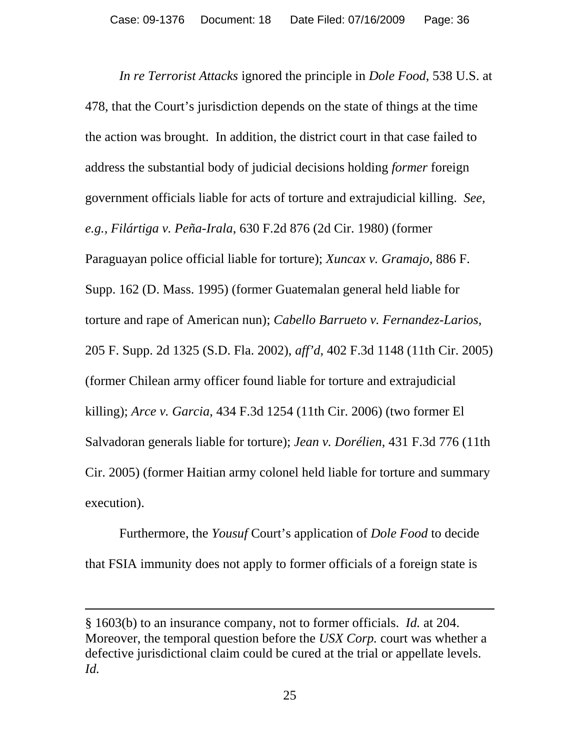*In re Terrorist Attacks* ignored the principle in *Dole Food*, 538 U.S. at 478, that the Court's jurisdiction depends on the state of things at the time the action was brought. In addition, the district court in that case failed to address the substantial body of judicial decisions holding *former* foreign government officials liable for acts of torture and extrajudicial killing. *See, e.g., Filártiga v. Peña-Irala*, 630 F.2d 876 (2d Cir. 1980) (former Paraguayan police official liable for torture); *Xuncax v. Gramajo*, 886 F. Supp. 162 (D. Mass. 1995) (former Guatemalan general held liable for torture and rape of American nun); *Cabello Barrueto v. Fernandez-Larios*, 205 F. Supp. 2d 1325 (S.D. Fla. 2002), *aff'd*, 402 F.3d 1148 (11th Cir. 2005) (former Chilean army officer found liable for torture and extrajudicial killing); *Arce v. Garcia*, 434 F.3d 1254 (11th Cir. 2006) (two former El Salvadoran generals liable for torture); *Jean v. Dorélien*, 431 F.3d 776 (11th Cir. 2005) (former Haitian army colonel held liable for torture and summary execution).

Furthermore, the *Yousuf* Court's application of *Dole Food* to decide that FSIA immunity does not apply to former officials of a foreign state is

-

<sup>§ 1603(</sup>b) to an insurance company, not to former officials. *Id.* at 204. Moreover, the temporal question before the *USX Corp.* court was whether a defective jurisdictional claim could be cured at the trial or appellate levels. *Id.*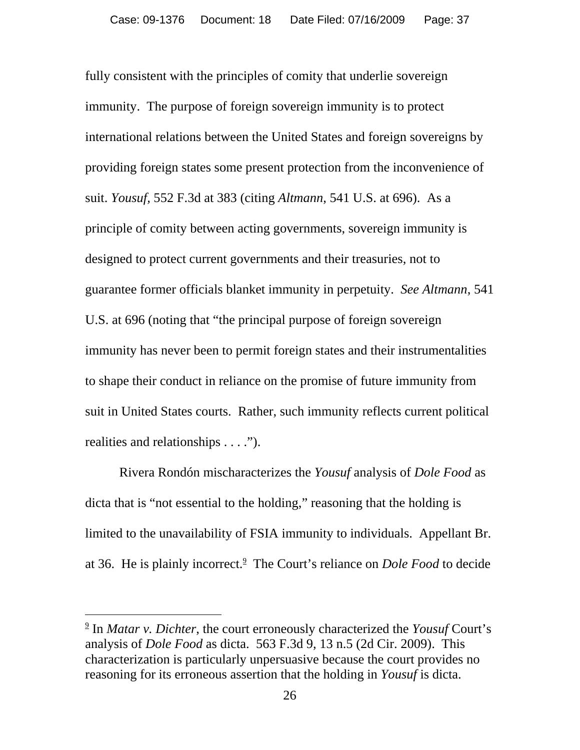fully consistent with the principles of comity that underlie sovereign immunity. The purpose of foreign sovereign immunity is to protect international relations between the United States and foreign sovereigns by providing foreign states some present protection from the inconvenience of suit. *Yousuf,* 552 F.3d at 383 (citing *Altmann*, 541 U.S. at 696). As a principle of comity between acting governments, sovereign immunity is designed to protect current governments and their treasuries, not to guarantee former officials blanket immunity in perpetuity. *See Altmann*, 541 U.S. at 696 (noting that "the principal purpose of foreign sovereign immunity has never been to permit foreign states and their instrumentalities to shape their conduct in reliance on the promise of future immunity from suit in United States courts. Rather, such immunity reflects current political realities and relationships . . . .").

Rivera Rondón mischaracterizes the *Yousuf* analysis of *Dole Food* as dicta that is "not essential to the holding," reasoning that the holding is limited to the unavailability of FSIA immunity to individuals. Appellant Br. at 36. He is plainly incorrect.<sup>2</sup> The Court's reliance on *Dole Food* to decide

 $\overline{a}$ 

<sup>9</sup> In *Matar v. Dichter*, the court erroneously characterized the *Yousuf* Court's analysis of *Dole Food* as dicta. 563 F.3d 9, 13 n.5 (2d Cir. 2009). This characterization is particularly unpersuasive because the court provides no reasoning for its erroneous assertion that the holding in *Yousuf* is dicta.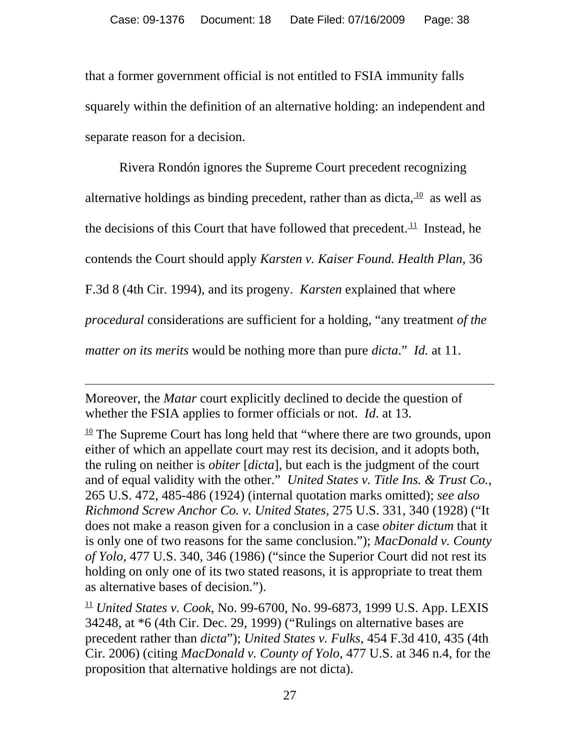that a former government official is not entitled to FSIA immunity falls squarely within the definition of an alternative holding: an independent and separate reason for a decision.

Rivera Rondón ignores the Supreme Court precedent recognizing

alternative holdings as binding precedent, rather than as dicta,  $\frac{10}{10}$  as well as

the decisions of this Court that have followed that precedent. $\frac{11}{11}$  Instead, he

contends the Court should apply *Karsten v. Kaiser Found. Health Plan*, 36

F.3d 8 (4th Cir. 1994), and its progeny. *Karsten* explained that where

*procedural* considerations are sufficient for a holding, "any treatment *of the* 

*matter on its merits* would be nothing more than pure *dicta*." *Id.* at 11.

-

<sup>11</sup> *United States v. Cook*, No. 99-6700, No. 99-6873, 1999 U.S. App. LEXIS 34248, at \*6 (4th Cir. Dec. 29, 1999) ("Rulings on alternative bases are precedent rather than *dicta*"); *United States v. Fulks*, 454 F.3d 410, 435 (4th Cir. 2006) (citing *MacDonald v. County of Yolo*, 477 U.S. at 346 n.4, for the proposition that alternative holdings are not dicta).

Moreover, the *Matar* court explicitly declined to decide the question of whether the FSIA applies to former officials or not. *Id*. at 13.

 $10$  The Supreme Court has long held that "where there are two grounds, upon either of which an appellate court may rest its decision, and it adopts both, the ruling on neither is *obiter* [*dicta*], but each is the judgment of the court and of equal validity with the other." *United States v. Title Ins. & Trust Co.*, 265 U.S. 472, 485-486 (1924) (internal quotation marks omitted); *see also Richmond Screw Anchor Co. v. United States*, 275 U.S. 331, 340 (1928) ("It does not make a reason given for a conclusion in a case *obiter dictum* that it is only one of two reasons for the same conclusion."); *MacDonald v. County of Yolo*, 477 U.S. 340, 346 (1986) ("since the Superior Court did not rest its holding on only one of its two stated reasons, it is appropriate to treat them as alternative bases of decision.").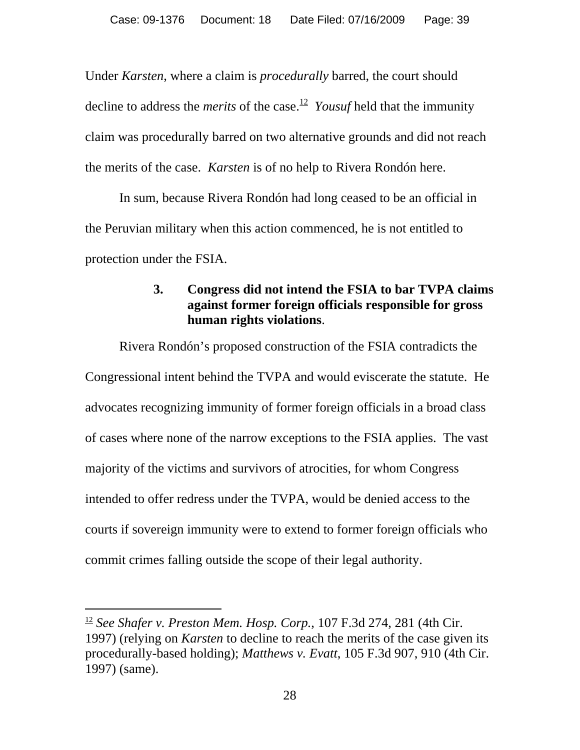Under *Karsten*, where a claim is *procedurally* barred, the court should decline to address the *merits* of the case.<sup>12</sup> *Yousuf* held that the immunity claim was procedurally barred on two alternative grounds and did not reach the merits of the case. *Karsten* is of no help to Rivera Rondón here.

In sum, because Rivera Rondón had long ceased to be an official in the Peruvian military when this action commenced, he is not entitled to protection under the FSIA.

## **3. Congress did not intend the FSIA to bar TVPA claims against former foreign officials responsible for gross human rights violations**.

Rivera Rondón's proposed construction of the FSIA contradicts the Congressional intent behind the TVPA and would eviscerate the statute. He advocates recognizing immunity of former foreign officials in a broad class of cases where none of the narrow exceptions to the FSIA applies. The vast majority of the victims and survivors of atrocities, for whom Congress intended to offer redress under the TVPA, would be denied access to the courts if sovereign immunity were to extend to former foreign officials who commit crimes falling outside the scope of their legal authority.

-

<sup>12</sup> *See Shafer v. Preston Mem. Hosp. Corp.*, 107 F.3d 274, 281 (4th Cir. 1997) (relying on *Karsten* to decline to reach the merits of the case given its procedurally-based holding); *Matthews v. Evatt*, 105 F.3d 907, 910 (4th Cir. 1997) (same).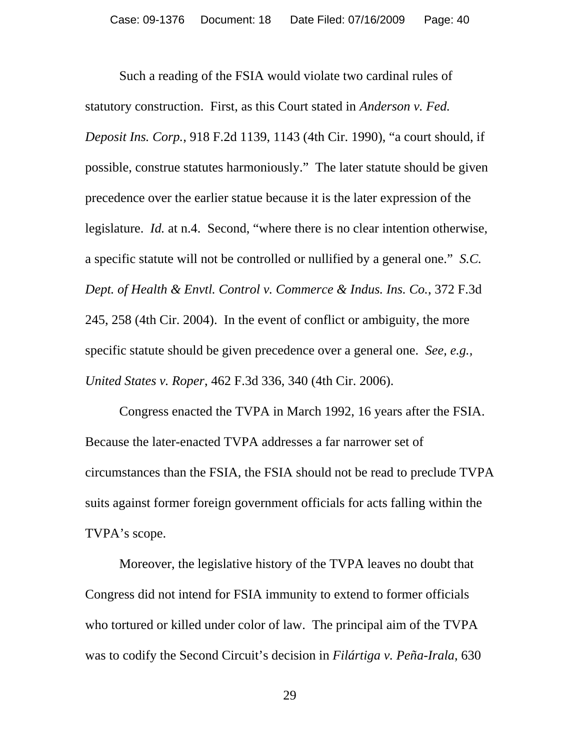Such a reading of the FSIA would violate two cardinal rules of statutory construction. First, as this Court stated in *Anderson v. Fed. Deposit Ins. Corp.*, 918 F.2d 1139, 1143 (4th Cir. 1990), "a court should, if possible, construe statutes harmoniously." The later statute should be given precedence over the earlier statue because it is the later expression of the legislature. *Id.* at n.4. Second, "where there is no clear intention otherwise, a specific statute will not be controlled or nullified by a general one." *S.C. Dept. of Health & Envtl. Control v. Commerce & Indus. Ins. Co.*, 372 F.3d 245, 258 (4th Cir. 2004). In the event of conflict or ambiguity, the more specific statute should be given precedence over a general one. *See, e.g., United States v. Roper*, 462 F.3d 336, 340 (4th Cir. 2006).

Congress enacted the TVPA in March 1992, 16 years after the FSIA. Because the later-enacted TVPA addresses a far narrower set of circumstances than the FSIA, the FSIA should not be read to preclude TVPA suits against former foreign government officials for acts falling within the TVPA's scope.

Moreover, the legislative history of the TVPA leaves no doubt that Congress did not intend for FSIA immunity to extend to former officials who tortured or killed under color of law. The principal aim of the TVPA was to codify the Second Circuit's decision in *Filártiga v. Peña-Irala*, 630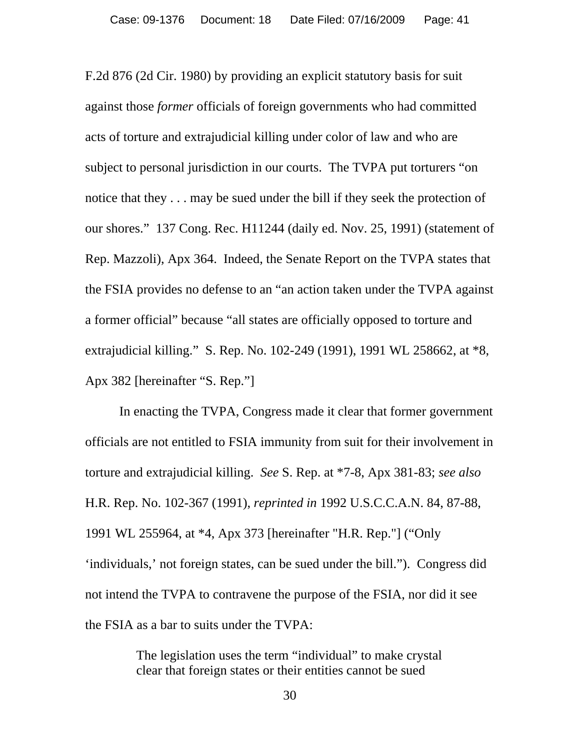F.2d 876 (2d Cir. 1980) by providing an explicit statutory basis for suit against those *former* officials of foreign governments who had committed acts of torture and extrajudicial killing under color of law and who are subject to personal jurisdiction in our courts. The TVPA put torturers "on notice that they . . . may be sued under the bill if they seek the protection of our shores." 137 Cong. Rec. H11244 (daily ed. Nov. 25, 1991) (statement of Rep. Mazzoli), Apx 364. Indeed, the Senate Report on the TVPA states that the FSIA provides no defense to an "an action taken under the TVPA against a former official" because "all states are officially opposed to torture and extrajudicial killing." S. Rep. No. 102-249 (1991), 1991 WL 258662, at \*8, Apx 382 [hereinafter "S. Rep."]

In enacting the TVPA, Congress made it clear that former government officials are not entitled to FSIA immunity from suit for their involvement in torture and extrajudicial killing. *See* S. Rep. at \*7-8, Apx 381-83; *see also*  H.R. Rep. No. 102-367 (1991), *reprinted in* 1992 U.S.C.C.A.N. 84, 87-88, 1991 WL 255964, at \*4, Apx 373 [hereinafter "H.R. Rep."] ("Only 'individuals,' not foreign states, can be sued under the bill."). Congress did not intend the TVPA to contravene the purpose of the FSIA, nor did it see the FSIA as a bar to suits under the TVPA:

> The legislation uses the term "individual" to make crystal clear that foreign states or their entities cannot be sued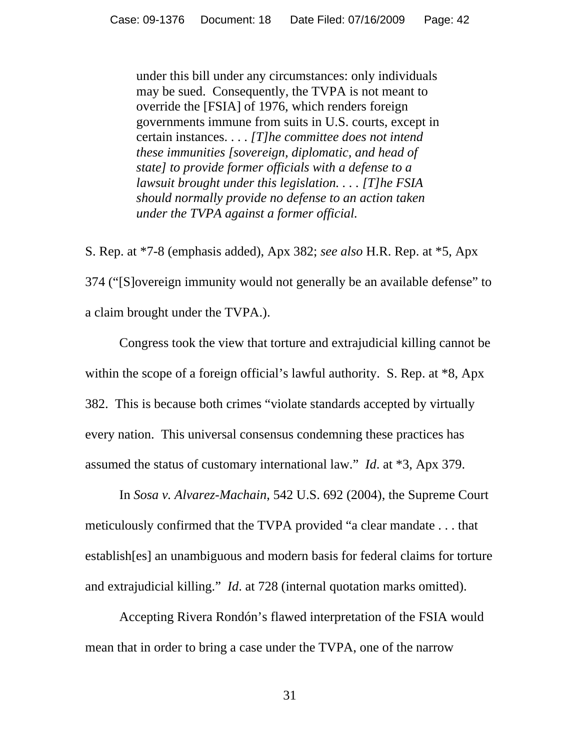under this bill under any circumstances: only individuals may be sued. Consequently, the TVPA is not meant to override the [FSIA] of 1976, which renders foreign governments immune from suits in U.S. courts, except in certain instances. . . . *[T]he committee does not intend these immunities [sovereign, diplomatic, and head of state] to provide former officials with a defense to a lawsuit brought under this legislation. . . . [T]he FSIA should normally provide no defense to an action taken under the TVPA against a former official.*

S. Rep. at \*7-8 (emphasis added), Apx 382; *see also* H.R. Rep. at \*5, Apx 374 ("[S]overeign immunity would not generally be an available defense" to a claim brought under the TVPA.).

Congress took the view that torture and extrajudicial killing cannot be within the scope of a foreign official's lawful authority. S. Rep. at \*8, Apx 382. This is because both crimes "violate standards accepted by virtually every nation. This universal consensus condemning these practices has assumed the status of customary international law." *Id*. at \*3, Apx 379.

In *Sosa v. Alvarez-Machain*, 542 U.S. 692 (2004), the Supreme Court meticulously confirmed that the TVPA provided "a clear mandate . . . that establish[es] an unambiguous and modern basis for federal claims for torture and extrajudicial killing." *Id*. at 728 (internal quotation marks omitted).

Accepting Rivera Rondón's flawed interpretation of the FSIA would mean that in order to bring a case under the TVPA, one of the narrow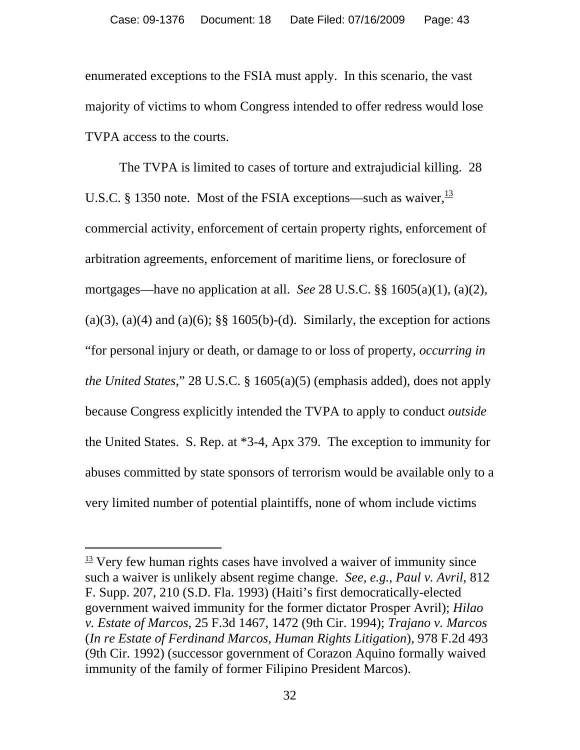enumerated exceptions to the FSIA must apply. In this scenario, the vast majority of victims to whom Congress intended to offer redress would lose TVPA access to the courts.

The TVPA is limited to cases of torture and extrajudicial killing. 28 U.S.C. § 1350 note. Most of the FSIA exceptions—such as waiver,  $\frac{13}{2}$ commercial activity, enforcement of certain property rights, enforcement of arbitration agreements, enforcement of maritime liens, or foreclosure of mortgages—have no application at all. *See* 28 U.S.C. §§ 1605(a)(1), (a)(2), (a)(3), (a)(4) and (a)(6);  $\S\S1605(b)$ -(d). Similarly, the exception for actions "for personal injury or death, or damage to or loss of property, *occurring in the United States*," 28 U.S.C. § 1605(a)(5) (emphasis added), does not apply because Congress explicitly intended the TVPA to apply to conduct *outside* the United States. S. Rep. at \*3-4, Apx 379. The exception to immunity for abuses committed by state sponsors of terrorism would be available only to a very limited number of potential plaintiffs, none of whom include victims

l

 $13$  Very few human rights cases have involved a waiver of immunity since such a waiver is unlikely absent regime change. *See, e.g., Paul v. Avril*, 812 F. Supp. 207, 210 (S.D. Fla. 1993) (Haiti's first democratically-elected government waived immunity for the former dictator Prosper Avril); *Hilao v. Estate of Marcos*, 25 F.3d 1467, 1472 (9th Cir. 1994); *Trajano v. Marcos* (*In re Estate of Ferdinand Marcos, Human Rights Litigation*), 978 F.2d 493 (9th Cir. 1992) (successor government of Corazon Aquino formally waived immunity of the family of former Filipino President Marcos).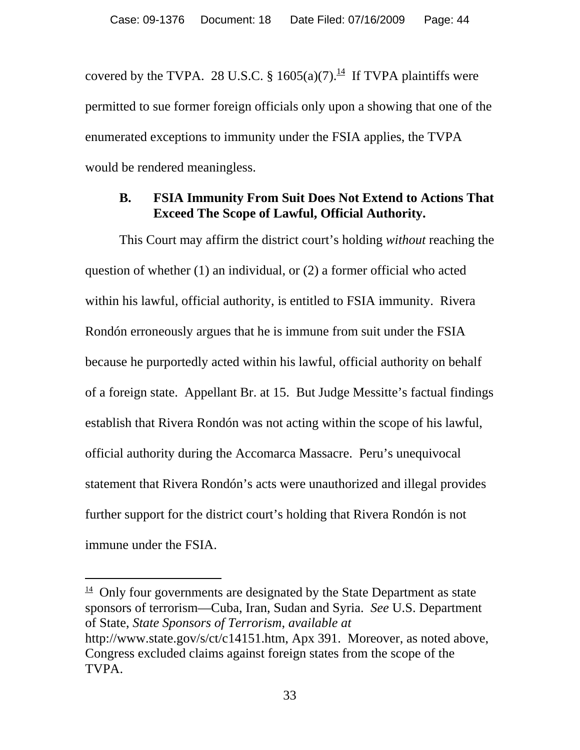covered by the TVPA. 28 U.S.C. § 1605(a)(7).<sup>14</sup> If TVPA plaintiffs were permitted to sue former foreign officials only upon a showing that one of the enumerated exceptions to immunity under the FSIA applies, the TVPA would be rendered meaningless.

# **B. FSIA Immunity From Suit Does Not Extend to Actions That Exceed The Scope of Lawful, Official Authority.**

This Court may affirm the district court's holding *without* reaching the question of whether (1) an individual, or (2) a former official who acted within his lawful, official authority, is entitled to FSIA immunity. Rivera Rondón erroneously argues that he is immune from suit under the FSIA because he purportedly acted within his lawful, official authority on behalf of a foreign state. Appellant Br. at 15. But Judge Messitte's factual findings establish that Rivera Rondón was not acting within the scope of his lawful, official authority during the Accomarca Massacre. Peru's unequivocal statement that Rivera Rondón's acts were unauthorized and illegal provides further support for the district court's holding that Rivera Rondón is not immune under the FSIA.

l

 $\frac{14}{14}$  Only four governments are designated by the State Department as state sponsors of terrorism—Cuba, Iran, Sudan and Syria. *See* U.S. Department of State, *State Sponsors of Terrorism*, *available at* http://www.state.gov/s/ct/c14151.htm, Apx 391. Moreover, as noted above, Congress excluded claims against foreign states from the scope of the TVPA.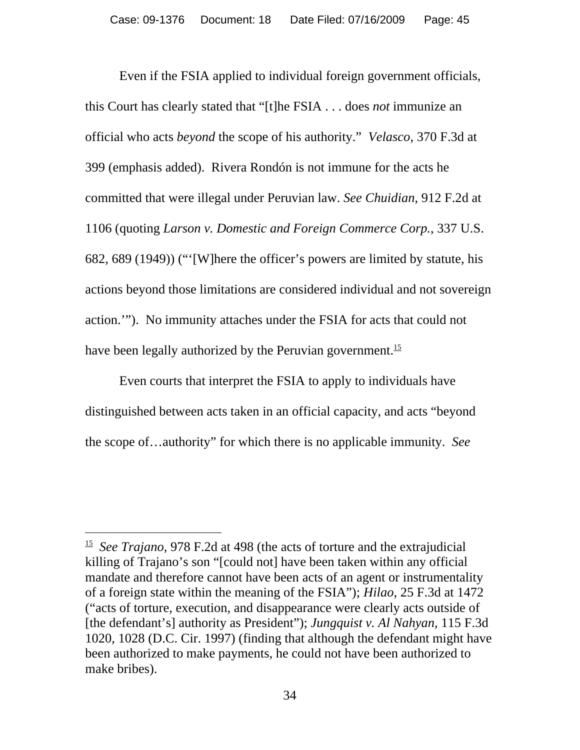Even if the FSIA applied to individual foreign government officials, this Court has clearly stated that "[t]he FSIA . . . does *not* immunize an official who acts *beyond* the scope of his authority." *Velasco*, 370 F.3d at 399 (emphasis added). Rivera Rondón is not immune for the acts he committed that were illegal under Peruvian law. *See Chuidian*, 912 F.2d at 1106 (quoting *Larson v. Domestic and Foreign Commerce Corp.*, 337 U.S. 682, 689 (1949)) ("'[W]here the officer's powers are limited by statute, his actions beyond those limitations are considered individual and not sovereign action.'"). No immunity attaches under the FSIA for acts that could not have been legally authorized by the Peruvian government.<sup>15</sup>

Even courts that interpret the FSIA to apply to individuals have distinguished between acts taken in an official capacity, and acts "beyond the scope of…authority" for which there is no applicable immunity. *See* 

 $\overline{a}$ 

<sup>15</sup> *See Trajano*, 978 F.2d at 498 (the acts of torture and the extrajudicial killing of Trajano's son "[could not] have been taken within any official mandate and therefore cannot have been acts of an agent or instrumentality of a foreign state within the meaning of the FSIA"); *Hilao*, 25 F.3d at 1472 ("acts of torture, execution, and disappearance were clearly acts outside of [the defendant's] authority as President"); *Jungquist v. Al Nahyan*, 115 F.3d 1020, 1028 (D.C. Cir. 1997) (finding that although the defendant might have been authorized to make payments, he could not have been authorized to make bribes).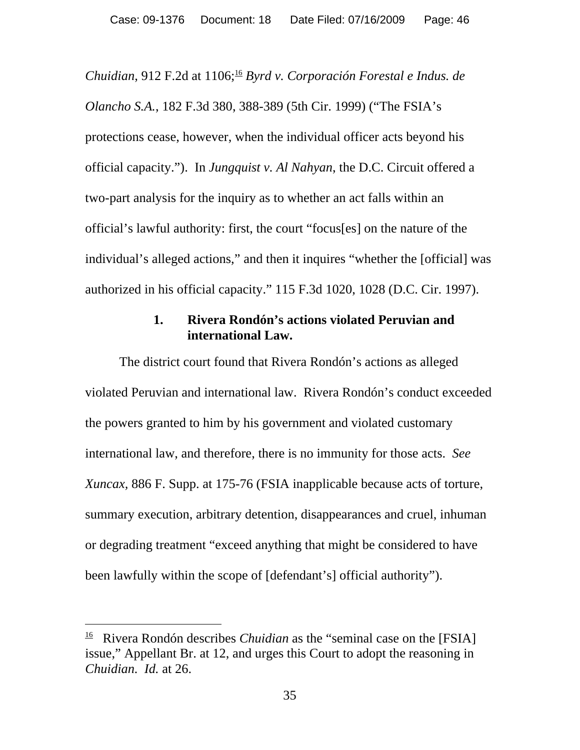*Chuidian, 912 F.2d at 1106;<sup>16</sup> <i>Byrd v. Corporación Forestal e Indus. de Olancho S.A.*, 182 F.3d 380, 388-389 (5th Cir. 1999) ("The FSIA's protections cease, however, when the individual officer acts beyond his official capacity."). In *Jungquist v. Al Nahyan*, the D.C. Circuit offered a two-part analysis for the inquiry as to whether an act falls within an official's lawful authority: first, the court "focus[es] on the nature of the individual's alleged actions," and then it inquires "whether the [official] was authorized in his official capacity." 115 F.3d 1020, 1028 (D.C. Cir. 1997).

## **1. Rivera Rondón's actions violated Peruvian and international Law.**

The district court found that Rivera Rondón's actions as alleged violated Peruvian and international law. Rivera Rondón's conduct exceeded the powers granted to him by his government and violated customary international law, and therefore, there is no immunity for those acts. *See Xuncax,* 886 F. Supp. at 175-76 (FSIA inapplicable because acts of torture, summary execution, arbitrary detention, disappearances and cruel, inhuman or degrading treatment "exceed anything that might be considered to have been lawfully within the scope of [defendant's] official authority").

-

<sup>16</sup> Rivera Rondón describes *Chuidian* as the "seminal case on the [FSIA] issue," Appellant Br. at 12, and urges this Court to adopt the reasoning in *Chuidian. Id.* at 26.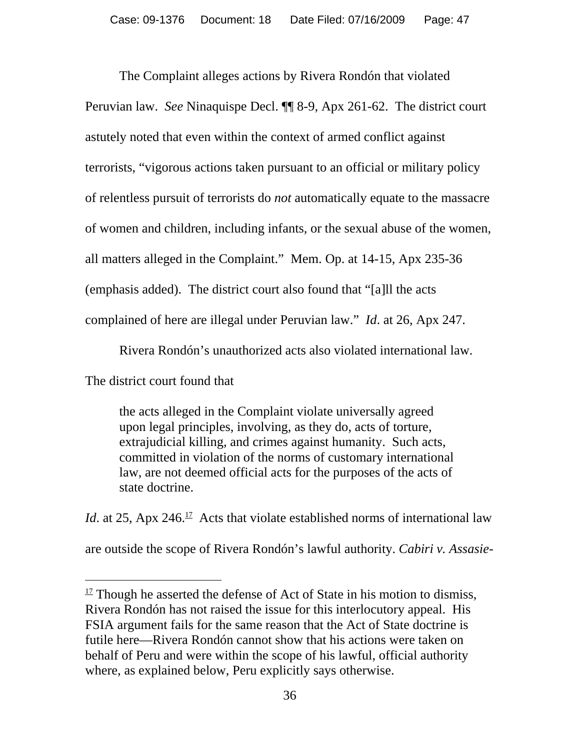The Complaint alleges actions by Rivera Rondón that violated Peruvian law. *See* Ninaquispe Decl. ¶¶ 8-9, Apx 261-62. The district court astutely noted that even within the context of armed conflict against terrorists, "vigorous actions taken pursuant to an official or military policy of relentless pursuit of terrorists do *not* automatically equate to the massacre of women and children, including infants, or the sexual abuse of the women, all matters alleged in the Complaint." Mem. Op. at 14-15, Apx 235-36 (emphasis added). The district court also found that "[a]ll the acts complained of here are illegal under Peruvian law." *Id*. at 26, Apx 247.

Rivera Rondón's unauthorized acts also violated international law.

The district court found that

-

the acts alleged in the Complaint violate universally agreed upon legal principles, involving, as they do, acts of torture, extrajudicial killing, and crimes against humanity. Such acts, committed in violation of the norms of customary international law, are not deemed official acts for the purposes of the acts of state doctrine.

*Id.* at 25, Apx 246.<sup>17</sup> Acts that violate established norms of international law are outside the scope of Rivera Rondón's lawful authority. *Cabiri v. Assasie-*

 $17$  Though he asserted the defense of Act of State in his motion to dismiss, Rivera Rondón has not raised the issue for this interlocutory appeal. His FSIA argument fails for the same reason that the Act of State doctrine is futile here—Rivera Rondón cannot show that his actions were taken on behalf of Peru and were within the scope of his lawful, official authority where, as explained below, Peru explicitly says otherwise.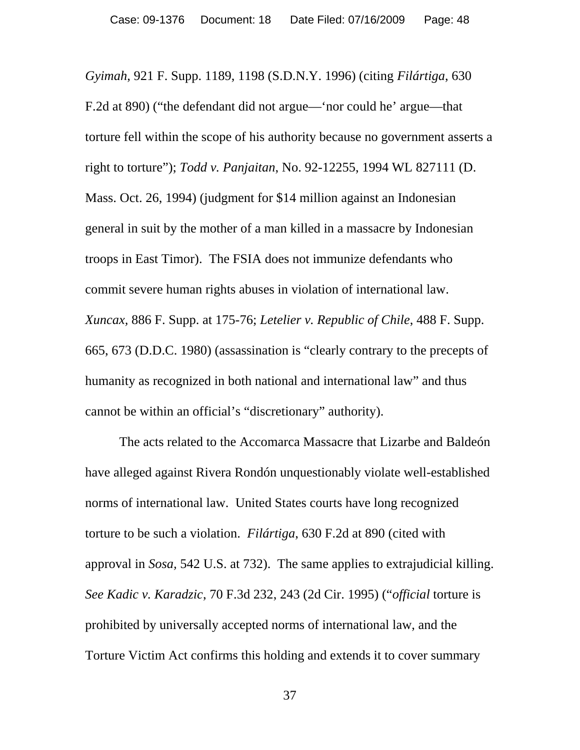*Gyimah*, 921 F. Supp. 1189, 1198 (S.D.N.Y. 1996) (citing *Filártiga*, 630 F.2d at 890) ("the defendant did not argue—'nor could he' argue—that torture fell within the scope of his authority because no government asserts a right to torture"); *Todd v. Panjaitan*, No. 92-12255, 1994 WL 827111 (D. Mass. Oct. 26, 1994) (judgment for \$14 million against an Indonesian general in suit by the mother of a man killed in a massacre by Indonesian troops in East Timor). The FSIA does not immunize defendants who commit severe human rights abuses in violation of international law. *Xuncax,* 886 F. Supp. at 175-76; *Letelier v. Republic of Chile*, 488 F. Supp. 665, 673 (D.D.C. 1980) (assassination is "clearly contrary to the precepts of humanity as recognized in both national and international law" and thus cannot be within an official's "discretionary" authority).

The acts related to the Accomarca Massacre that Lizarbe and Baldeón have alleged against Rivera Rondón unquestionably violate well-established norms of international law. United States courts have long recognized torture to be such a violation. *Filártiga*, 630 F.2d at 890 (cited with approval in *Sosa,* 542 U.S. at 732). The same applies to extrajudicial killing. *See Kadic v. Karadzic*, 70 F.3d 232, 243 (2d Cir. 1995) ("*official* torture is prohibited by universally accepted norms of international law, and the Torture Victim Act confirms this holding and extends it to cover summary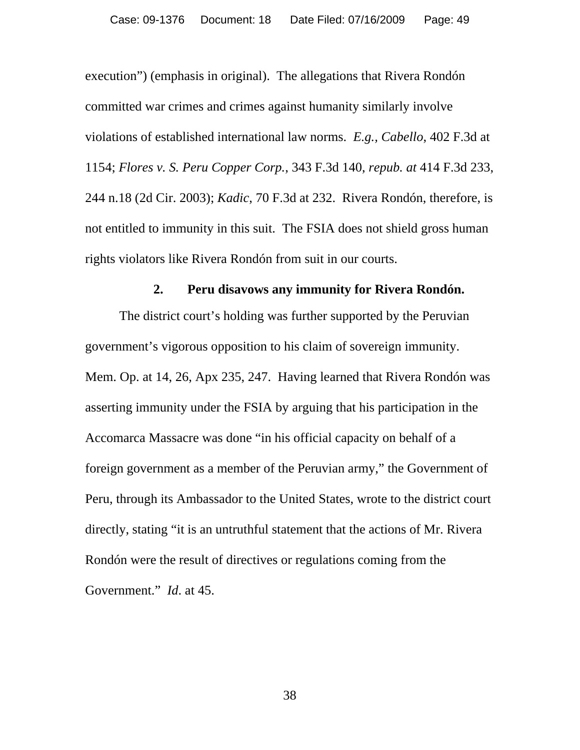execution") (emphasis in original). The allegations that Rivera Rondón committed war crimes and crimes against humanity similarly involve violations of established international law norms. *E.g., Cabello*, 402 F.3d at 1154; *Flores v. S. Peru Copper Corp.*, 343 F.3d 140, *repub. at* 414 F.3d 233, 244 n.18 (2d Cir. 2003); *Kadic*, 70 F.3d at 232. Rivera Rondón, therefore, is not entitled to immunity in this suit. The FSIA does not shield gross human rights violators like Rivera Rondón from suit in our courts.

#### **2. Peru disavows any immunity for Rivera Rondón.**

The district court's holding was further supported by the Peruvian government's vigorous opposition to his claim of sovereign immunity. Mem. Op. at 14, 26, Apx 235, 247. Having learned that Rivera Rondón was asserting immunity under the FSIA by arguing that his participation in the Accomarca Massacre was done "in his official capacity on behalf of a foreign government as a member of the Peruvian army," the Government of Peru, through its Ambassador to the United States, wrote to the district court directly, stating "it is an untruthful statement that the actions of Mr. Rivera Rondón were the result of directives or regulations coming from the Government." *Id*. at 45.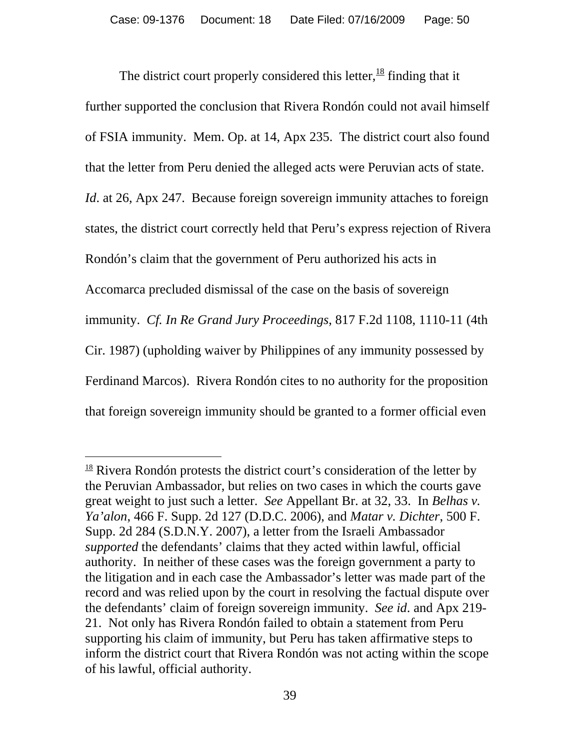The district court properly considered this letter,  $^{18}$  finding that it further supported the conclusion that Rivera Rondón could not avail himself of FSIA immunity. Mem. Op. at 14, Apx 235. The district court also found that the letter from Peru denied the alleged acts were Peruvian acts of state. *Id.* at 26, Apx 247. Because foreign sovereign immunity attaches to foreign states, the district court correctly held that Peru's express rejection of Rivera Rondón's claim that the government of Peru authorized his acts in Accomarca precluded dismissal of the case on the basis of sovereign immunity. *Cf. In Re Grand Jury Proceedings*, 817 F.2d 1108, 1110-11 (4th Cir. 1987) (upholding waiver by Philippines of any immunity possessed by Ferdinand Marcos). Rivera Rondón cites to no authority for the proposition that foreign sovereign immunity should be granted to a former official even

-

 $18$  Rivera Rondón protests the district court's consideration of the letter by the Peruvian Ambassador, but relies on two cases in which the courts gave great weight to just such a letter. *See* Appellant Br. at 32, 33. In *Belhas v. Ya'alon*, 466 F. Supp. 2d 127 (D.D.C. 2006), and *Matar v. Dichter*, 500 F. Supp. 2d 284 (S.D.N.Y. 2007), a letter from the Israeli Ambassador *supported* the defendants' claims that they acted within lawful, official authority. In neither of these cases was the foreign government a party to the litigation and in each case the Ambassador's letter was made part of the record and was relied upon by the court in resolving the factual dispute over the defendants' claim of foreign sovereign immunity. *See id*. and Apx 219- 21. Not only has Rivera Rondón failed to obtain a statement from Peru supporting his claim of immunity, but Peru has taken affirmative steps to inform the district court that Rivera Rondón was not acting within the scope of his lawful, official authority.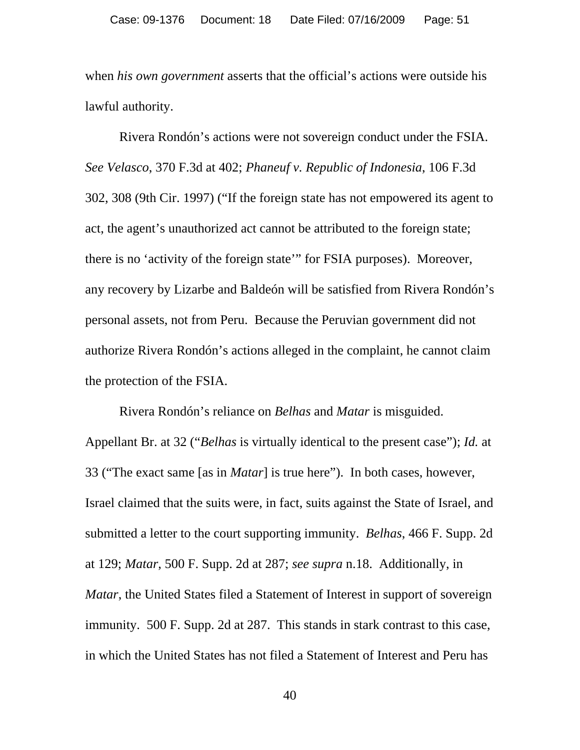when *his own government* asserts that the official's actions were outside his lawful authority.

Rivera Rondón's actions were not sovereign conduct under the FSIA. *See Velasco*, 370 F.3d at 402; *Phaneuf v. Republic of Indonesia*, 106 F.3d 302, 308 (9th Cir. 1997) ("If the foreign state has not empowered its agent to act, the agent's unauthorized act cannot be attributed to the foreign state; there is no 'activity of the foreign state'" for FSIA purposes). Moreover, any recovery by Lizarbe and Baldeón will be satisfied from Rivera Rondón's personal assets, not from Peru. Because the Peruvian government did not authorize Rivera Rondón's actions alleged in the complaint, he cannot claim the protection of the FSIA.

Rivera Rondón's reliance on *Belhas* and *Matar* is misguided. Appellant Br. at 32 ("*Belhas* is virtually identical to the present case"); *Id.* at 33 ("The exact same [as in *Matar*] is true here"). In both cases, however, Israel claimed that the suits were, in fact, suits against the State of Israel, and submitted a letter to the court supporting immunity. *Belhas*, 466 F. Supp. 2d at 129; *Matar*, 500 F. Supp. 2d at 287; *see supra* n.18. Additionally, in *Matar*, the United States filed a Statement of Interest in support of sovereign immunity. 500 F. Supp. 2d at 287. This stands in stark contrast to this case, in which the United States has not filed a Statement of Interest and Peru has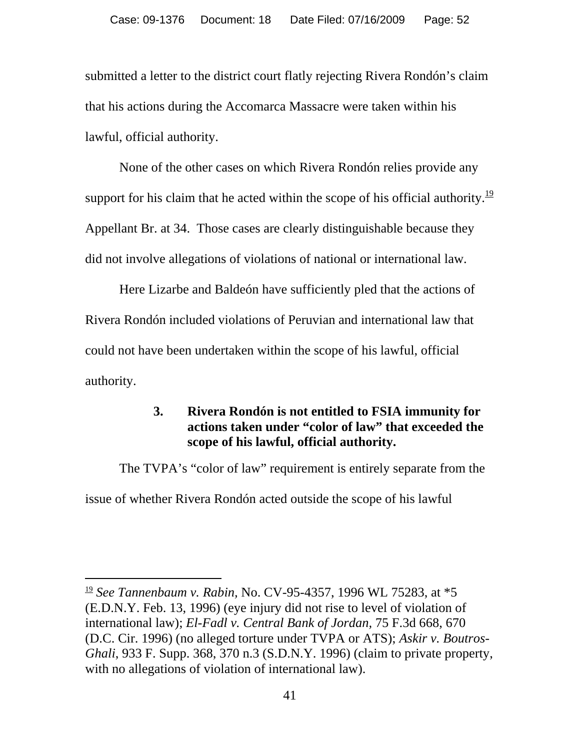submitted a letter to the district court flatly rejecting Rivera Rondón's claim that his actions during the Accomarca Massacre were taken within his lawful, official authority.

None of the other cases on which Rivera Rondón relies provide any support for his claim that he acted within the scope of his official authority.<sup>19</sup> Appellant Br. at 34. Those cases are clearly distinguishable because they did not involve allegations of violations of national or international law.

Here Lizarbe and Baldeón have sufficiently pled that the actions of Rivera Rondón included violations of Peruvian and international law that could not have been undertaken within the scope of his lawful, official authority.

# **3. Rivera Rondón is not entitled to FSIA immunity for actions taken under "color of law" that exceeded the scope of his lawful, official authority.**

The TVPA's "color of law" requirement is entirely separate from the issue of whether Rivera Rondón acted outside the scope of his lawful

 $\overline{a}$ 

<sup>19</sup> *See Tannenbaum v. Rabin,* No. CV-95-4357, 1996 WL 75283, at \*5 (E.D.N.Y. Feb. 13, 1996) (eye injury did not rise to level of violation of international law); *El-Fadl v. Central Bank of Jordan,* 75 F.3d 668, 670 (D.C. Cir. 1996) (no alleged torture under TVPA or ATS); *Askir v. Boutros-Ghali*, 933 F. Supp. 368, 370 n.3 (S.D.N.Y. 1996) (claim to private property, with no allegations of violation of international law).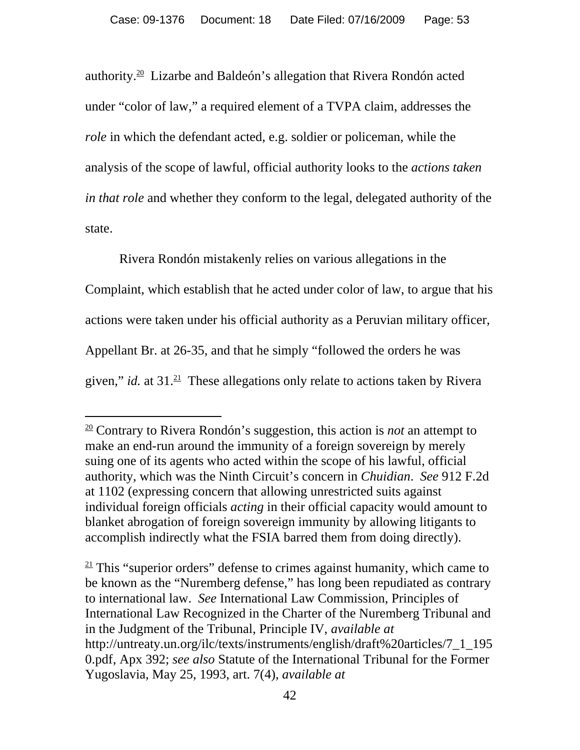authority.20 Lizarbe and Baldeón's allegation that Rivera Rondón acted under "color of law," a required element of a TVPA claim, addresses the *role* in which the defendant acted, e.g. soldier or policeman, while the analysis of the scope of lawful, official authority looks to the *actions taken in that role* and whether they conform to the legal, delegated authority of the state.

Rivera Rondón mistakenly relies on various allegations in the Complaint, which establish that he acted under color of law, to argue that his actions were taken under his official authority as a Peruvian military officer, Appellant Br. at 26-35, and that he simply "followed the orders he was given," *id.* at  $31<sup>21</sup>$  These allegations only relate to actions taken by Rivera

 $\overline{a}$ 

<sup>20</sup> Contrary to Rivera Rondón's suggestion, this action is *not* an attempt to make an end-run around the immunity of a foreign sovereign by merely suing one of its agents who acted within the scope of his lawful, official authority, which was the Ninth Circuit's concern in *Chuidian*. *See* 912 F.2d at 1102 (expressing concern that allowing unrestricted suits against individual foreign officials *acting* in their official capacity would amount to blanket abrogation of foreign sovereign immunity by allowing litigants to accomplish indirectly what the FSIA barred them from doing directly).

 $\frac{21}{21}$  This "superior orders" defense to crimes against humanity, which came to be known as the "Nuremberg defense," has long been repudiated as contrary to international law. *See* International Law Commission, Principles of International Law Recognized in the Charter of the Nuremberg Tribunal and in the Judgment of the Tribunal, Principle IV, *available at*  http://untreaty.un.org/ilc/texts/instruments/english/draft%20articles/7\_1\_195 0.pdf, Apx 392; *see also* Statute of the International Tribunal for the Former Yugoslavia, May 25, 1993, art. 7(4), *available at*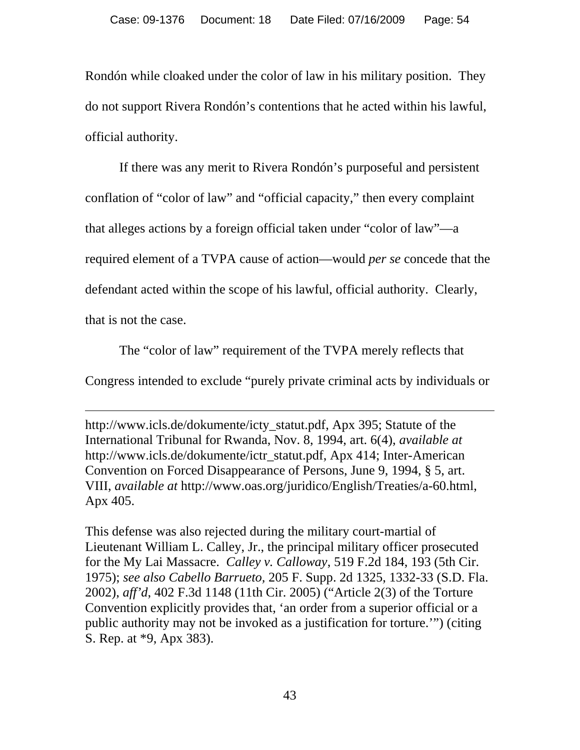Rondón while cloaked under the color of law in his military position. They do not support Rivera Rondón's contentions that he acted within his lawful, official authority.

If there was any merit to Rivera Rondón's purposeful and persistent conflation of "color of law" and "official capacity," then every complaint that alleges actions by a foreign official taken under "color of law"—a required element of a TVPA cause of action—would *per se* concede that the defendant acted within the scope of his lawful, official authority. Clearly, that is not the case.

The "color of law" requirement of the TVPA merely reflects that Congress intended to exclude "purely private criminal acts by individuals or

http://www.icls.de/dokumente/icty\_statut.pdf, Apx 395; Statute of the International Tribunal for Rwanda, Nov. 8, 1994, art. 6(4), *available at* http://www.icls.de/dokumente/ictr\_statut.pdf, Apx 414; Inter-American Convention on Forced Disappearance of Persons, June 9, 1994, § 5, art. VIII, *available at* http://www.oas.org/juridico/English/Treaties/a-60.html, Apx 405.

 $\overline{a}$ 

This defense was also rejected during the military court-martial of Lieutenant William L. Calley, Jr., the principal military officer prosecuted for the My Lai Massacre. *Calley v. Calloway*, 519 F.2d 184, 193 (5th Cir. 1975); *see also Cabello Barrueto,* 205 F. Supp. 2d 1325, 1332-33 (S.D. Fla. 2002), *aff'd*, 402 F.3d 1148 (11th Cir. 2005) ("Article 2(3) of the Torture Convention explicitly provides that, 'an order from a superior official or a public authority may not be invoked as a justification for torture.'") (citing S. Rep. at \*9, Apx 383).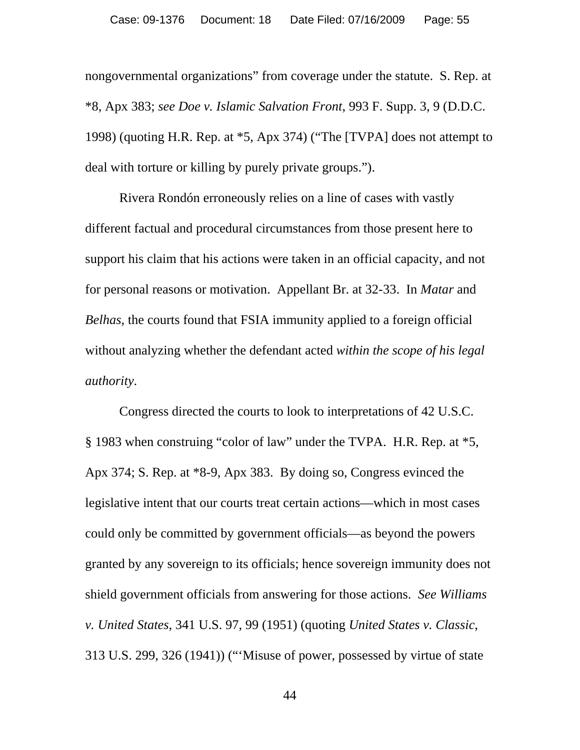nongovernmental organizations" from coverage under the statute. S. Rep. at \*8, Apx 383; *see Doe v. Islamic Salvation Front*, 993 F. Supp. 3, 9 (D.D.C. 1998) (quoting H.R. Rep. at \*5, Apx 374) ("The [TVPA] does not attempt to deal with torture or killing by purely private groups.").

Rivera Rondón erroneously relies on a line of cases with vastly different factual and procedural circumstances from those present here to support his claim that his actions were taken in an official capacity, and not for personal reasons or motivation. Appellant Br. at 32-33. In *Matar* and *Belhas*, the courts found that FSIA immunity applied to a foreign official without analyzing whether the defendant acted *within the scope of his legal authority*.

Congress directed the courts to look to interpretations of 42 U.S.C. § 1983 when construing "color of law" under the TVPA. H.R. Rep. at \*5, Apx 374; S. Rep. at \*8-9, Apx 383. By doing so, Congress evinced the legislative intent that our courts treat certain actions—which in most cases could only be committed by government officials—as beyond the powers granted by any sovereign to its officials; hence sovereign immunity does not shield government officials from answering for those actions. *See Williams v. United States*, 341 U.S. 97, 99 (1951) (quoting *United States v. Classic*, 313 U.S. 299, 326 (1941)) ("'Misuse of power, possessed by virtue of state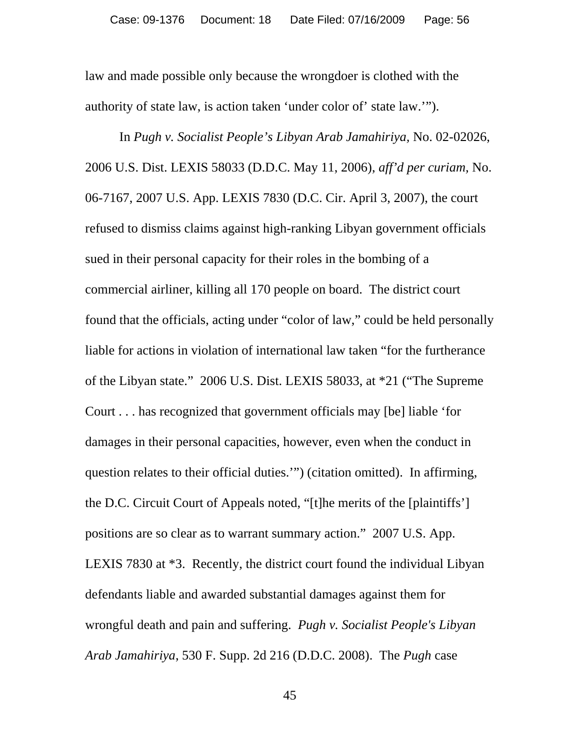law and made possible only because the wrongdoer is clothed with the authority of state law, is action taken 'under color of' state law.'").

In *Pugh v. Socialist People's Libyan Arab Jamahiriya,* No. 02-02026, 2006 U.S. Dist. LEXIS 58033 (D.D.C. May 11, 2006), *aff'd per curiam,* No. 06-7167, 2007 U.S. App. LEXIS 7830 (D.C. Cir. April 3, 2007), the court refused to dismiss claims against high-ranking Libyan government officials sued in their personal capacity for their roles in the bombing of a commercial airliner, killing all 170 people on board. The district court found that the officials, acting under "color of law," could be held personally liable for actions in violation of international law taken "for the furtherance of the Libyan state." 2006 U.S. Dist. LEXIS 58033, at \*21 ("The Supreme Court . . . has recognized that government officials may [be] liable 'for damages in their personal capacities, however, even when the conduct in question relates to their official duties.'") (citation omitted). In affirming, the D.C. Circuit Court of Appeals noted, "[t]he merits of the [plaintiffs'] positions are so clear as to warrant summary action." 2007 U.S. App. LEXIS 7830 at \*3. Recently, the district court found the individual Libyan defendants liable and awarded substantial damages against them for wrongful death and pain and suffering. *Pugh v. Socialist People's Libyan Arab Jamahiriya*, 530 F. Supp. 2d 216 (D.D.C. 2008). The *Pugh* case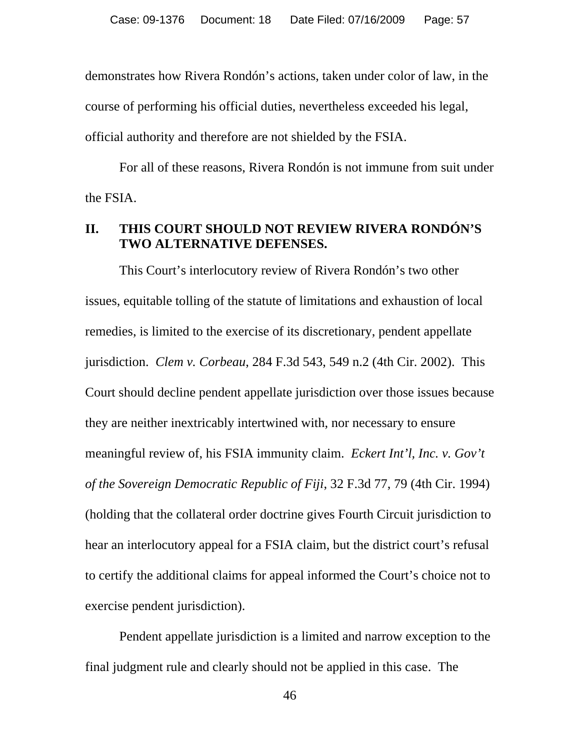demonstrates how Rivera Rondón's actions, taken under color of law, in the course of performing his official duties, nevertheless exceeded his legal, official authority and therefore are not shielded by the FSIA.

For all of these reasons, Rivera Rondón is not immune from suit under the FSIA.

# **II. THIS COURT SHOULD NOT REVIEW RIVERA RONDÓN'S TWO ALTERNATIVE DEFENSES.**

This Court's interlocutory review of Rivera Rondón's two other issues, equitable tolling of the statute of limitations and exhaustion of local remedies, is limited to the exercise of its discretionary, pendent appellate jurisdiction. *Clem v. Corbeau*, 284 F.3d 543, 549 n.2 (4th Cir. 2002). This Court should decline pendent appellate jurisdiction over those issues because they are neither inextricably intertwined with, nor necessary to ensure meaningful review of, his FSIA immunity claim. *Eckert Int'l, Inc. v. Gov't of the Sovereign Democratic Republic of Fiji*, 32 F.3d 77, 79 (4th Cir. 1994) (holding that the collateral order doctrine gives Fourth Circuit jurisdiction to hear an interlocutory appeal for a FSIA claim, but the district court's refusal to certify the additional claims for appeal informed the Court's choice not to exercise pendent jurisdiction).

Pendent appellate jurisdiction is a limited and narrow exception to the final judgment rule and clearly should not be applied in this case. The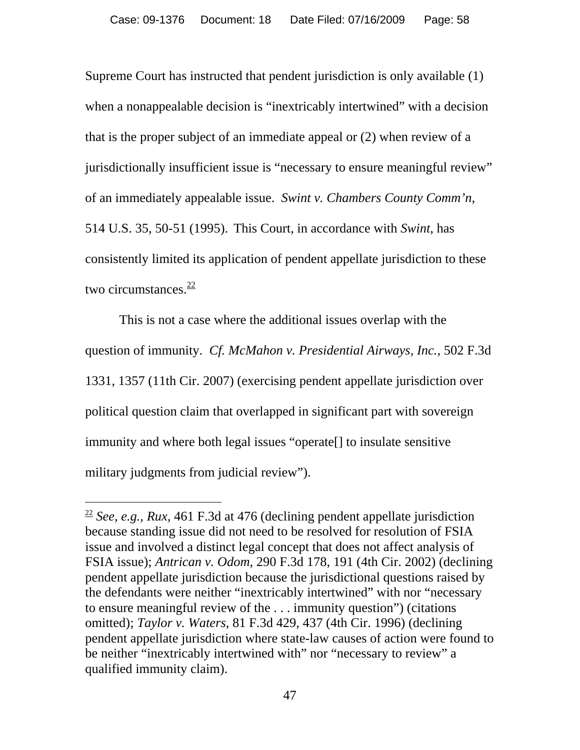Supreme Court has instructed that pendent jurisdiction is only available (1) when a nonappealable decision is "inextricably intertwined" with a decision that is the proper subject of an immediate appeal or (2) when review of a jurisdictionally insufficient issue is "necessary to ensure meaningful review" of an immediately appealable issue. *Swint v. Chambers County Comm'n*, 514 U.S. 35, 50-51 (1995). This Court, in accordance with *Swint*, has consistently limited its application of pendent appellate jurisdiction to these two circumstances. $\frac{22}{2}$ 

This is not a case where the additional issues overlap with the question of immunity. *Cf. McMahon v. Presidential Airways, Inc.*, 502 F.3d 1331, 1357 (11th Cir. 2007) (exercising pendent appellate jurisdiction over political question claim that overlapped in significant part with sovereign immunity and where both legal issues "operate[] to insulate sensitive military judgments from judicial review").

-

 $22$  *See, e.g., Rux,* 461 F.3d at 476 (declining pendent appellate jurisdiction because standing issue did not need to be resolved for resolution of FSIA issue and involved a distinct legal concept that does not affect analysis of FSIA issue); *Antrican v. Odom*, 290 F.3d 178, 191 (4th Cir. 2002) (declining pendent appellate jurisdiction because the jurisdictional questions raised by the defendants were neither "inextricably intertwined" with nor "necessary to ensure meaningful review of the . . . immunity question") (citations omitted); *Taylor v. Waters*, 81 F.3d 429, 437 (4th Cir. 1996) (declining pendent appellate jurisdiction where state-law causes of action were found to be neither "inextricably intertwined with" nor "necessary to review" a qualified immunity claim).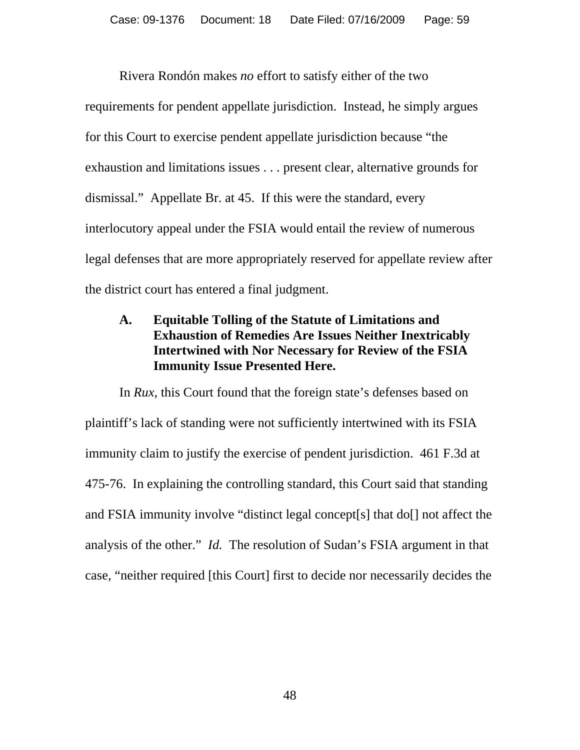Rivera Rondón makes *no* effort to satisfy either of the two requirements for pendent appellate jurisdiction. Instead, he simply argues for this Court to exercise pendent appellate jurisdiction because "the exhaustion and limitations issues . . . present clear, alternative grounds for dismissal." Appellate Br. at 45. If this were the standard, every interlocutory appeal under the FSIA would entail the review of numerous legal defenses that are more appropriately reserved for appellate review after the district court has entered a final judgment.

# **A. Equitable Tolling of the Statute of Limitations and Exhaustion of Remedies Are Issues Neither Inextricably Intertwined with Nor Necessary for Review of the FSIA Immunity Issue Presented Here.**

In *Rux*, this Court found that the foreign state's defenses based on plaintiff's lack of standing were not sufficiently intertwined with its FSIA immunity claim to justify the exercise of pendent jurisdiction. 461 F.3d at 475-76. In explaining the controlling standard, this Court said that standing and FSIA immunity involve "distinct legal concept[s] that do[] not affect the analysis of the other." *Id.* The resolution of Sudan's FSIA argument in that case, "neither required [this Court] first to decide nor necessarily decides the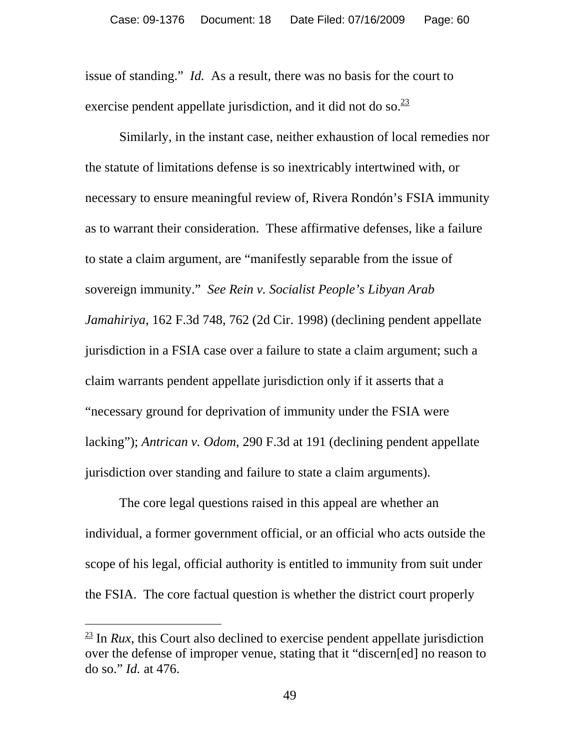issue of standing." *Id.* As a result, there was no basis for the court to exercise pendent appellate jurisdiction, and it did not do so. $\frac{23}{2}$ 

Similarly, in the instant case, neither exhaustion of local remedies nor the statute of limitations defense is so inextricably intertwined with, or necessary to ensure meaningful review of, Rivera Rondón's FSIA immunity as to warrant their consideration. These affirmative defenses, like a failure to state a claim argument, are "manifestly separable from the issue of sovereign immunity." *See Rein v. Socialist People's Libyan Arab Jamahiriya*, 162 F.3d 748, 762 (2d Cir. 1998) (declining pendent appellate jurisdiction in a FSIA case over a failure to state a claim argument; such a claim warrants pendent appellate jurisdiction only if it asserts that a "necessary ground for deprivation of immunity under the FSIA were lacking"); *Antrican v. Odom*, 290 F.3d at 191 (declining pendent appellate jurisdiction over standing and failure to state a claim arguments).

The core legal questions raised in this appeal are whether an individual, a former government official, or an official who acts outside the scope of his legal, official authority is entitled to immunity from suit under the FSIA. The core factual question is whether the district court properly

-

 $\frac{23}{21}$  In *Rux*, this Court also declined to exercise pendent appellate jurisdiction over the defense of improper venue, stating that it "discern[ed] no reason to do so." *Id.* at 476.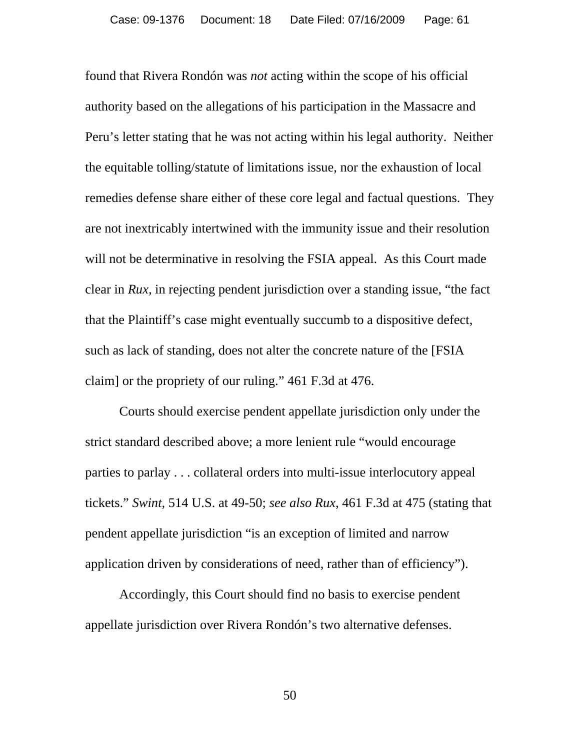found that Rivera Rondón was *not* acting within the scope of his official authority based on the allegations of his participation in the Massacre and Peru's letter stating that he was not acting within his legal authority. Neither the equitable tolling/statute of limitations issue, nor the exhaustion of local remedies defense share either of these core legal and factual questions. They are not inextricably intertwined with the immunity issue and their resolution will not be determinative in resolving the FSIA appeal. As this Court made clear in *Rux,* in rejecting pendent jurisdiction over a standing issue, "the fact that the Plaintiff's case might eventually succumb to a dispositive defect, such as lack of standing, does not alter the concrete nature of the [FSIA claim] or the propriety of our ruling." 461 F.3d at 476.

Courts should exercise pendent appellate jurisdiction only under the strict standard described above; a more lenient rule "would encourage parties to parlay . . . collateral orders into multi-issue interlocutory appeal tickets." *Swint*, 514 U.S. at 49-50; *see also Rux*, 461 F.3d at 475 (stating that pendent appellate jurisdiction "is an exception of limited and narrow application driven by considerations of need, rather than of efficiency").

 Accordingly, this Court should find no basis to exercise pendent appellate jurisdiction over Rivera Rondón's two alternative defenses.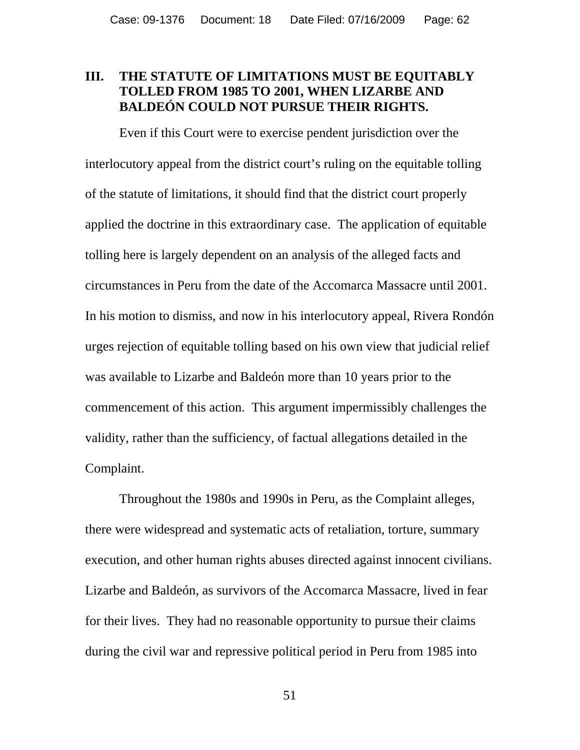#### **III. THE STATUTE OF LIMITATIONS MUST BE EQUITABLY TOLLED FROM 1985 TO 2001, WHEN LIZARBE AND BALDEÓN COULD NOT PURSUE THEIR RIGHTS.**

Even if this Court were to exercise pendent jurisdiction over the interlocutory appeal from the district court's ruling on the equitable tolling of the statute of limitations, it should find that the district court properly applied the doctrine in this extraordinary case. The application of equitable tolling here is largely dependent on an analysis of the alleged facts and circumstances in Peru from the date of the Accomarca Massacre until 2001. In his motion to dismiss, and now in his interlocutory appeal, Rivera Rondón urges rejection of equitable tolling based on his own view that judicial relief was available to Lizarbe and Baldeón more than 10 years prior to the commencement of this action. This argument impermissibly challenges the validity, rather than the sufficiency, of factual allegations detailed in the Complaint.

Throughout the 1980s and 1990s in Peru, as the Complaint alleges, there were widespread and systematic acts of retaliation, torture, summary execution, and other human rights abuses directed against innocent civilians. Lizarbe and Baldeón, as survivors of the Accomarca Massacre, lived in fear for their lives. They had no reasonable opportunity to pursue their claims during the civil war and repressive political period in Peru from 1985 into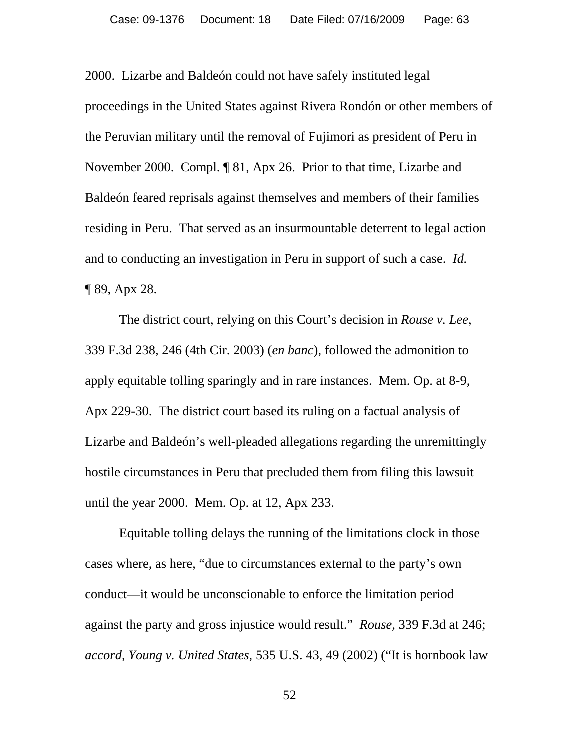2000. Lizarbe and Baldeón could not have safely instituted legal proceedings in the United States against Rivera Rondón or other members of the Peruvian military until the removal of Fujimori as president of Peru in November 2000. Compl. ¶ 81, Apx 26. Prior to that time, Lizarbe and Baldeón feared reprisals against themselves and members of their families residing in Peru. That served as an insurmountable deterrent to legal action and to conducting an investigation in Peru in support of such a case. *Id.* ¶ 89, Apx 28.

The district court, relying on this Court's decision in *Rouse v. Lee*, 339 F.3d 238, 246 (4th Cir. 2003) (*en banc*), followed the admonition to apply equitable tolling sparingly and in rare instances. Mem. Op. at 8-9, Apx 229-30. The district court based its ruling on a factual analysis of Lizarbe and Baldeón's well-pleaded allegations regarding the unremittingly hostile circumstances in Peru that precluded them from filing this lawsuit until the year 2000. Mem. Op. at 12, Apx 233.

Equitable tolling delays the running of the limitations clock in those cases where, as here, "due to circumstances external to the party's own conduct—it would be unconscionable to enforce the limitation period against the party and gross injustice would result." *Rouse,* 339 F.3d at 246; *accord, Young v. United States,* 535 U.S. 43, 49 (2002) ("It is hornbook law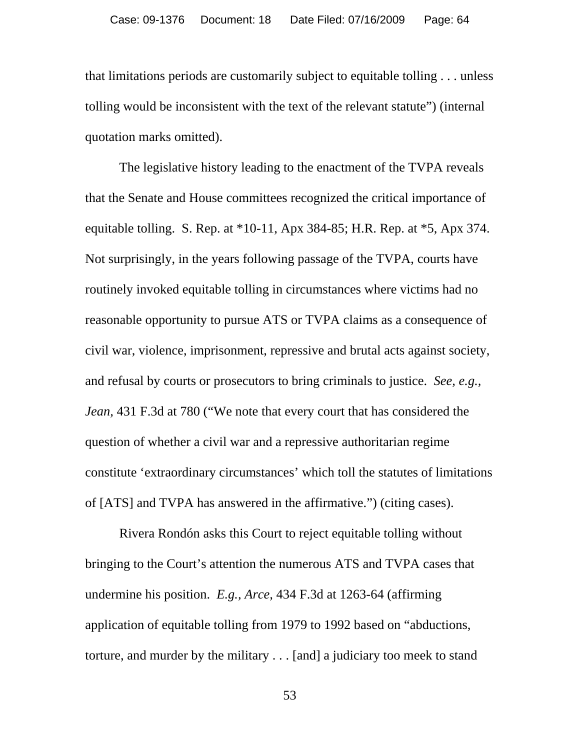that limitations periods are customarily subject to equitable tolling . . . unless tolling would be inconsistent with the text of the relevant statute") (internal quotation marks omitted).

The legislative history leading to the enactment of the TVPA reveals that the Senate and House committees recognized the critical importance of equitable tolling. S. Rep. at  $*10-11$ , Apx 384-85; H.R. Rep. at  $*5$ , Apx 374. Not surprisingly, in the years following passage of the TVPA, courts have routinely invoked equitable tolling in circumstances where victims had no reasonable opportunity to pursue ATS or TVPA claims as a consequence of civil war, violence, imprisonment, repressive and brutal acts against society, and refusal by courts or prosecutors to bring criminals to justice. *See, e.g., Jean,* 431 F.3d at 780 ("We note that every court that has considered the question of whether a civil war and a repressive authoritarian regime constitute 'extraordinary circumstances' which toll the statutes of limitations of [ATS] and TVPA has answered in the affirmative.") (citing cases).

Rivera Rondón asks this Court to reject equitable tolling without bringing to the Court's attention the numerous ATS and TVPA cases that undermine his position. *E.g., Arce,* 434 F.3d at 1263-64 (affirming application of equitable tolling from 1979 to 1992 based on "abductions, torture, and murder by the military . . . [and] a judiciary too meek to stand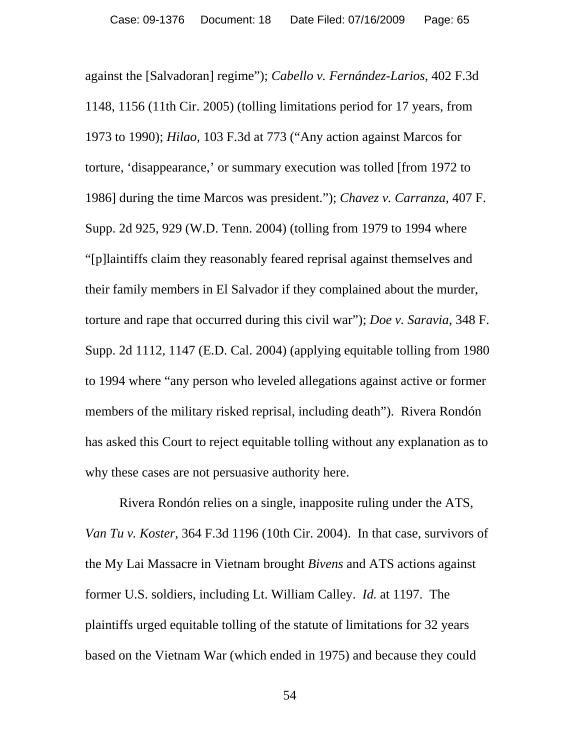against the [Salvadoran] regime"); *Cabello v. Fernández-Larios,* 402 F.3d 1148, 1156 (11th Cir. 2005) (tolling limitations period for 17 years, from 1973 to 1990); *Hilao,* 103 F.3d at 773 ("Any action against Marcos for torture, 'disappearance,' or summary execution was tolled [from 1972 to 1986] during the time Marcos was president."); *Chavez v. Carranza,* 407 F. Supp. 2d 925, 929 (W.D. Tenn. 2004) (tolling from 1979 to 1994 where "[p]laintiffs claim they reasonably feared reprisal against themselves and their family members in El Salvador if they complained about the murder, torture and rape that occurred during this civil war"); *Doe v. Saravia,* 348 F. Supp. 2d 1112, 1147 (E.D. Cal. 2004) (applying equitable tolling from 1980 to 1994 where "any person who leveled allegations against active or former members of the military risked reprisal, including death"). Rivera Rondón has asked this Court to reject equitable tolling without any explanation as to why these cases are not persuasive authority here.

Rivera Rondón relies on a single, inapposite ruling under the ATS, *Van Tu v. Koster,* 364 F.3d 1196 (10th Cir. 2004). In that case, survivors of the My Lai Massacre in Vietnam brought *Bivens* and ATS actions against former U.S. soldiers, including Lt. William Calley. *Id.* at 1197. The plaintiffs urged equitable tolling of the statute of limitations for 32 years based on the Vietnam War (which ended in 1975) and because they could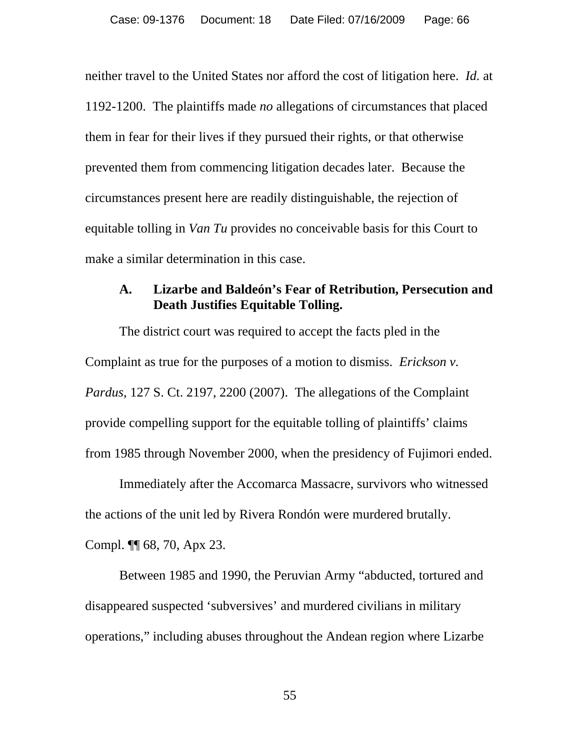neither travel to the United States nor afford the cost of litigation here. *Id.* at 1192-1200. The plaintiffs made *no* allegations of circumstances that placed them in fear for their lives if they pursued their rights, or that otherwise prevented them from commencing litigation decades later. Because the circumstances present here are readily distinguishable, the rejection of equitable tolling in *Van Tu* provides no conceivable basis for this Court to make a similar determination in this case.

#### **A. Lizarbe and Baldeón's Fear of Retribution, Persecution and Death Justifies Equitable Tolling.**

The district court was required to accept the facts pled in the Complaint as true for the purposes of a motion to dismiss. *Erickson v. Pardus*, 127 S. Ct. 2197, 2200 (2007). The allegations of the Complaint provide compelling support for the equitable tolling of plaintiffs' claims from 1985 through November 2000, when the presidency of Fujimori ended.

Immediately after the Accomarca Massacre, survivors who witnessed the actions of the unit led by Rivera Rondón were murdered brutally.

Compl. ¶¶ 68, 70, Apx 23.

Between 1985 and 1990, the Peruvian Army "abducted, tortured and disappeared suspected 'subversives' and murdered civilians in military operations," including abuses throughout the Andean region where Lizarbe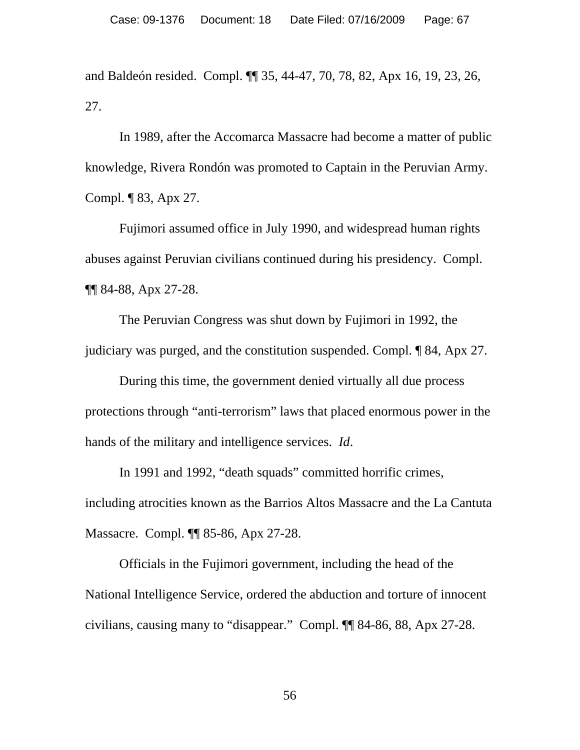and Baldeón resided. Compl. ¶¶ 35, 44-47, 70, 78, 82, Apx 16, 19, 23, 26, 27.

In 1989, after the Accomarca Massacre had become a matter of public knowledge, Rivera Rondón was promoted to Captain in the Peruvian Army. Compl. ¶ 83, Apx 27.

Fujimori assumed office in July 1990, and widespread human rights abuses against Peruvian civilians continued during his presidency. Compl. ¶¶ 84-88, Apx 27-28.

The Peruvian Congress was shut down by Fujimori in 1992, the judiciary was purged, and the constitution suspended. Compl. ¶ 84, Apx 27.

During this time, the government denied virtually all due process protections through "anti-terrorism" laws that placed enormous power in the hands of the military and intelligence services. *Id*.

In 1991 and 1992, "death squads" committed horrific crimes, including atrocities known as the Barrios Altos Massacre and the La Cantuta Massacre. Compl. ¶¶ 85-86, Apx 27-28.

Officials in the Fujimori government, including the head of the National Intelligence Service, ordered the abduction and torture of innocent civilians, causing many to "disappear." Compl. ¶¶ 84-86, 88, Apx 27-28.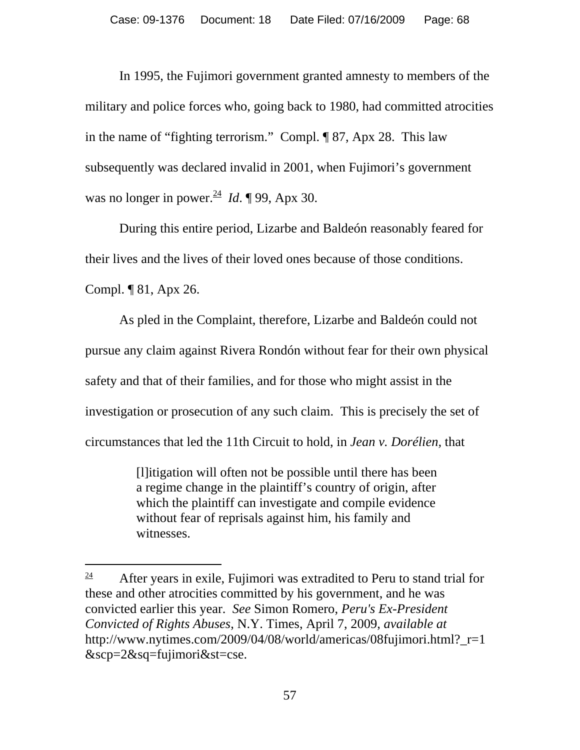In 1995, the Fujimori government granted amnesty to members of the military and police forces who, going back to 1980, had committed atrocities in the name of "fighting terrorism." Compl. ¶ 87, Apx 28. This law subsequently was declared invalid in 2001, when Fujimori's government was no longer in power.<sup>24</sup> *Id*. **[99, Apx 30.**]

During this entire period, Lizarbe and Baldeón reasonably feared for their lives and the lives of their loved ones because of those conditions. Compl. ¶ 81, Apx 26.

As pled in the Complaint, therefore, Lizarbe and Baldeón could not pursue any claim against Rivera Rondón without fear for their own physical safety and that of their families, and for those who might assist in the investigation or prosecution of any such claim. This is precisely the set of circumstances that led the 11th Circuit to hold, in *Jean v. Dorélien,* that

> [l]itigation will often not be possible until there has been a regime change in the plaintiff's country of origin, after which the plaintiff can investigate and compile evidence without fear of reprisals against him, his family and witnesses.

 $\overline{a}$ 

 $\frac{24}{1}$  After years in exile, Fujimori was extradited to Peru to stand trial for these and other atrocities committed by his government, and he was convicted earlier this year. *See* Simon Romero, *Peru's Ex-President Convicted of Rights Abuses*, N.Y. Times, April 7, 2009, *available at* http://www.nytimes.com/2009/04/08/world/americas/08fujimori.html? $r=1$ &scp=2&sq=fujimori&st=cse.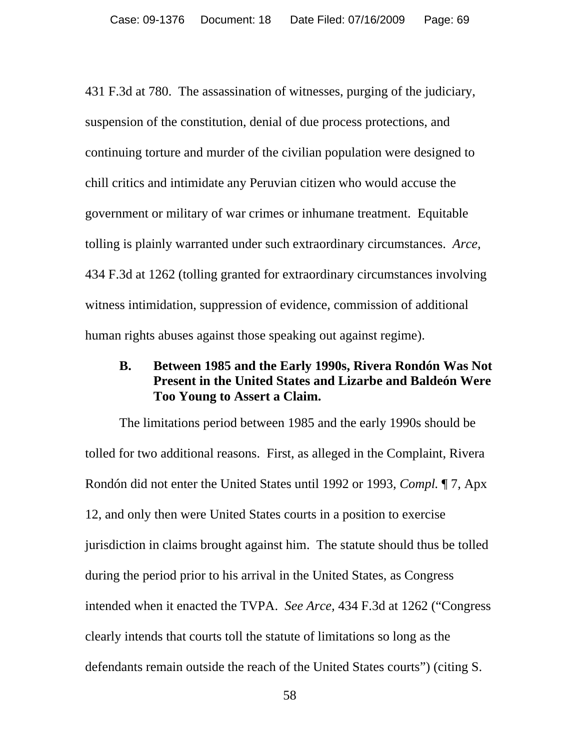431 F.3d at 780. The assassination of witnesses, purging of the judiciary, suspension of the constitution, denial of due process protections, and continuing torture and murder of the civilian population were designed to chill critics and intimidate any Peruvian citizen who would accuse the government or military of war crimes or inhumane treatment. Equitable tolling is plainly warranted under such extraordinary circumstances. *Arce,* 434 F.3d at 1262 (tolling granted for extraordinary circumstances involving witness intimidation, suppression of evidence, commission of additional human rights abuses against those speaking out against regime).

#### **B. Between 1985 and the Early 1990s, Rivera Rondón Was Not Present in the United States and Lizarbe and Baldeón Were Too Young to Assert a Claim.**

The limitations period between 1985 and the early 1990s should be tolled for two additional reasons. First, as alleged in the Complaint, Rivera Rondón did not enter the United States until 1992 or 1993, *Compl.* ¶ 7, Apx 12, and only then were United States courts in a position to exercise jurisdiction in claims brought against him. The statute should thus be tolled during the period prior to his arrival in the United States, as Congress intended when it enacted the TVPA. *See Arce,* 434 F.3d at 1262 ("Congress clearly intends that courts toll the statute of limitations so long as the defendants remain outside the reach of the United States courts") (citing S.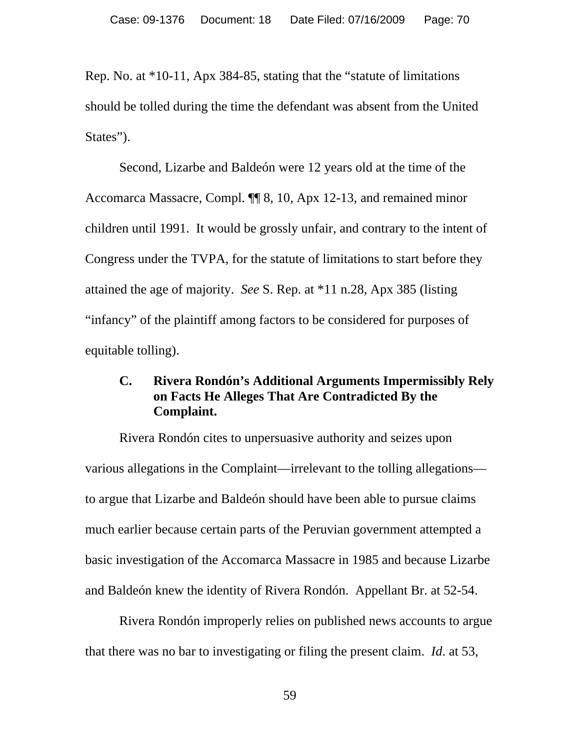Rep. No. at \*10-11, Apx 384-85, stating that the "statute of limitations should be tolled during the time the defendant was absent from the United States").

Second, Lizarbe and Baldeón were 12 years old at the time of the Accomarca Massacre, Compl. ¶¶ 8, 10, Apx 12-13, and remained minor children until 1991. It would be grossly unfair, and contrary to the intent of Congress under the TVPA, for the statute of limitations to start before they attained the age of majority. *See* S. Rep. at \*11 n.28, Apx 385 (listing "infancy" of the plaintiff among factors to be considered for purposes of equitable tolling).

# **C. Rivera Rondón's Additional Arguments Impermissibly Rely on Facts He Alleges That Are Contradicted By the Complaint.**

Rivera Rondón cites to unpersuasive authority and seizes upon various allegations in the Complaint—irrelevant to the tolling allegations to argue that Lizarbe and Baldeón should have been able to pursue claims much earlier because certain parts of the Peruvian government attempted a basic investigation of the Accomarca Massacre in 1985 and because Lizarbe and Baldeón knew the identity of Rivera Rondón. Appellant Br. at 52-54.

Rivera Rondón improperly relies on published news accounts to argue that there was no bar to investigating or filing the present claim. *Id*. at 53,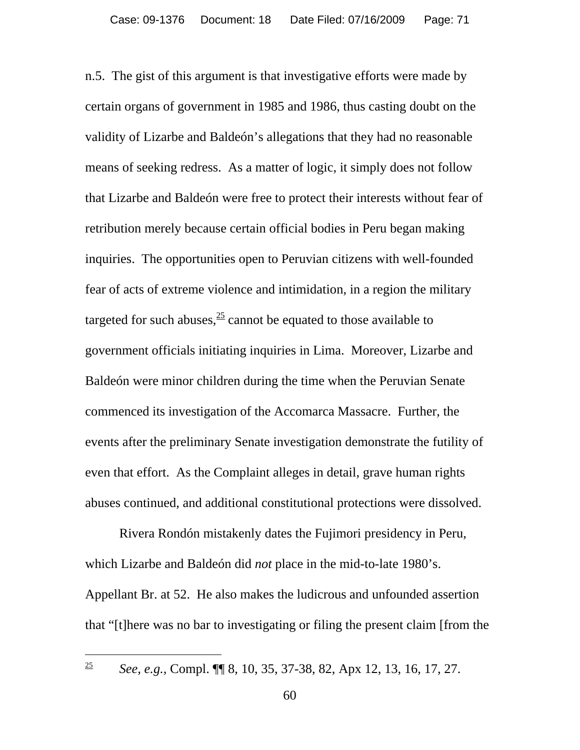n.5. The gist of this argument is that investigative efforts were made by certain organs of government in 1985 and 1986, thus casting doubt on the validity of Lizarbe and Baldeón's allegations that they had no reasonable means of seeking redress. As a matter of logic, it simply does not follow that Lizarbe and Baldeón were free to protect their interests without fear of retribution merely because certain official bodies in Peru began making inquiries. The opportunities open to Peruvian citizens with well-founded fear of acts of extreme violence and intimidation, in a region the military targeted for such abuses,  $\frac{25}{2}$  cannot be equated to those available to government officials initiating inquiries in Lima. Moreover, Lizarbe and Baldeón were minor children during the time when the Peruvian Senate commenced its investigation of the Accomarca Massacre. Further, the events after the preliminary Senate investigation demonstrate the futility of even that effort. As the Complaint alleges in detail, grave human rights abuses continued, and additional constitutional protections were dissolved.

Rivera Rondón mistakenly dates the Fujimori presidency in Peru, which Lizarbe and Baldeón did *not* place in the mid-to-late 1980's. Appellant Br. at 52. He also makes the ludicrous and unfounded assertion that "[t]here was no bar to investigating or filing the present claim [from the

 $\overline{a}$ 

<sup>25</sup> *See, e.g.,* Compl. ¶¶ 8, 10, 35, 37-38, 82, Apx 12, 13, 16, 17, 27.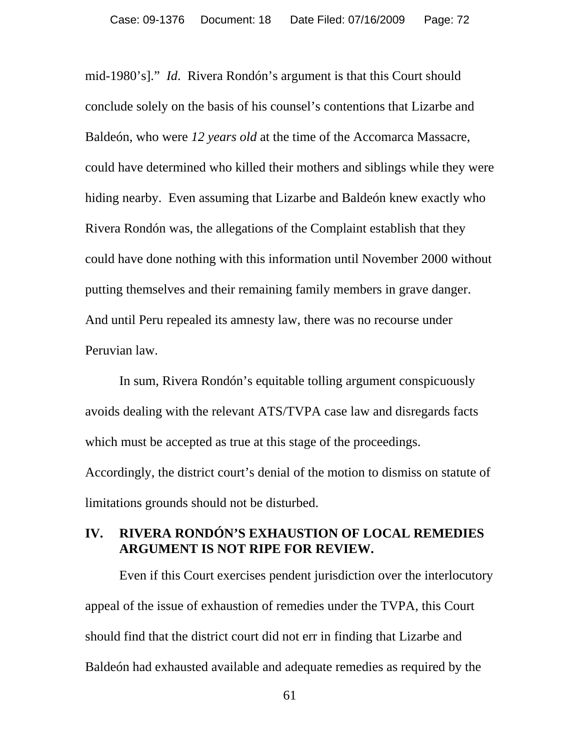mid-1980's]." *Id*. Rivera Rondón's argument is that this Court should conclude solely on the basis of his counsel's contentions that Lizarbe and Baldeón, who were *12 years old* at the time of the Accomarca Massacre, could have determined who killed their mothers and siblings while they were hiding nearby. Even assuming that Lizarbe and Baldeón knew exactly who Rivera Rondón was, the allegations of the Complaint establish that they could have done nothing with this information until November 2000 without putting themselves and their remaining family members in grave danger. And until Peru repealed its amnesty law, there was no recourse under Peruvian law.

In sum, Rivera Rondón's equitable tolling argument conspicuously avoids dealing with the relevant ATS/TVPA case law and disregards facts which must be accepted as true at this stage of the proceedings. Accordingly, the district court's denial of the motion to dismiss on statute of limitations grounds should not be disturbed.

# **IV. RIVERA RONDÓN'S EXHAUSTION OF LOCAL REMEDIES ARGUMENT IS NOT RIPE FOR REVIEW.**

Even if this Court exercises pendent jurisdiction over the interlocutory appeal of the issue of exhaustion of remedies under the TVPA, this Court should find that the district court did not err in finding that Lizarbe and Baldeón had exhausted available and adequate remedies as required by the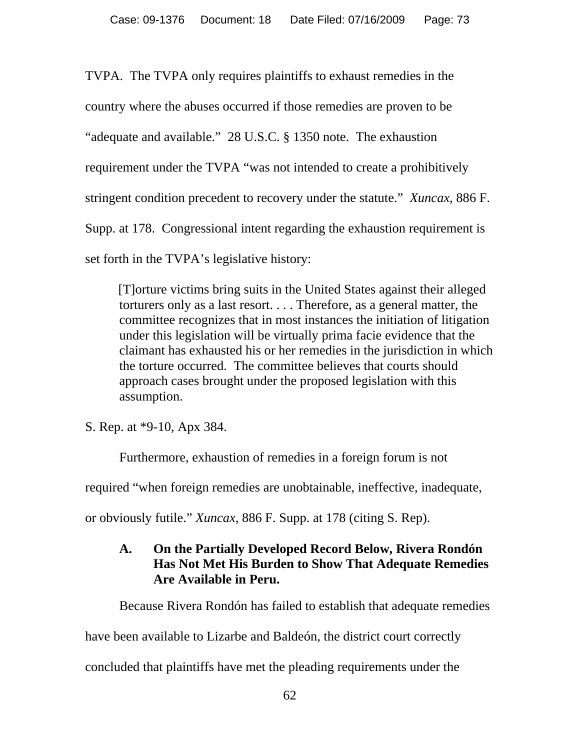TVPA. The TVPA only requires plaintiffs to exhaust remedies in the

country where the abuses occurred if those remedies are proven to be

"adequate and available." 28 U.S.C. § 1350 note. The exhaustion

requirement under the TVPA "was not intended to create a prohibitively

stringent condition precedent to recovery under the statute." *Xuncax*, 886 F.

Supp. at 178. Congressional intent regarding the exhaustion requirement is

set forth in the TVPA's legislative history:

[T]orture victims bring suits in the United States against their alleged torturers only as a last resort. . . . Therefore, as a general matter, the committee recognizes that in most instances the initiation of litigation under this legislation will be virtually prima facie evidence that the claimant has exhausted his or her remedies in the jurisdiction in which the torture occurred. The committee believes that courts should approach cases brought under the proposed legislation with this assumption.

S. Rep. at \*9-10, Apx 384.

Furthermore, exhaustion of remedies in a foreign forum is not

required "when foreign remedies are unobtainable, ineffective, inadequate,

or obviously futile." *Xuncax*, 886 F. Supp. at 178 (citing S. Rep).

# **A. On the Partially Developed Record Below, Rivera Rondón Has Not Met His Burden to Show That Adequate Remedies Are Available in Peru.**

Because Rivera Rondón has failed to establish that adequate remedies have been available to Lizarbe and Baldeón, the district court correctly concluded that plaintiffs have met the pleading requirements under the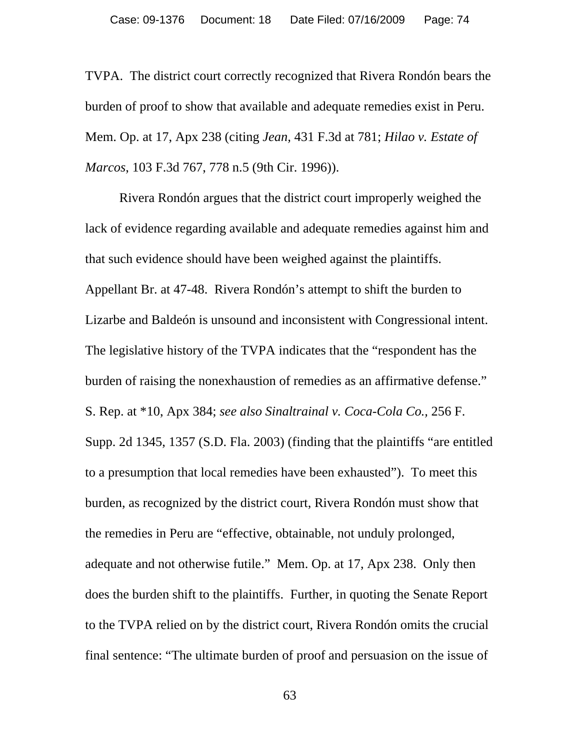TVPA. The district court correctly recognized that Rivera Rondón bears the burden of proof to show that available and adequate remedies exist in Peru. Mem. Op. at 17, Apx 238 (citing *Jean,* 431 F.3d at 781; *Hilao v. Estate of Marcos*, 103 F.3d 767, 778 n.5 (9th Cir. 1996)).

Rivera Rondón argues that the district court improperly weighed the lack of evidence regarding available and adequate remedies against him and that such evidence should have been weighed against the plaintiffs. Appellant Br. at 47-48. Rivera Rondón's attempt to shift the burden to Lizarbe and Baldeón is unsound and inconsistent with Congressional intent. The legislative history of the TVPA indicates that the "respondent has the burden of raising the nonexhaustion of remedies as an affirmative defense." S. Rep. at \*10, Apx 384; *see also Sinaltrainal v. Coca-Cola Co.,* 256 F. Supp. 2d 1345, 1357 (S.D. Fla. 2003) (finding that the plaintiffs "are entitled to a presumption that local remedies have been exhausted"). To meet this burden, as recognized by the district court, Rivera Rondón must show that the remedies in Peru are "effective, obtainable, not unduly prolonged, adequate and not otherwise futile." Mem. Op. at 17, Apx 238. Only then does the burden shift to the plaintiffs. Further, in quoting the Senate Report to the TVPA relied on by the district court, Rivera Rondón omits the crucial final sentence: "The ultimate burden of proof and persuasion on the issue of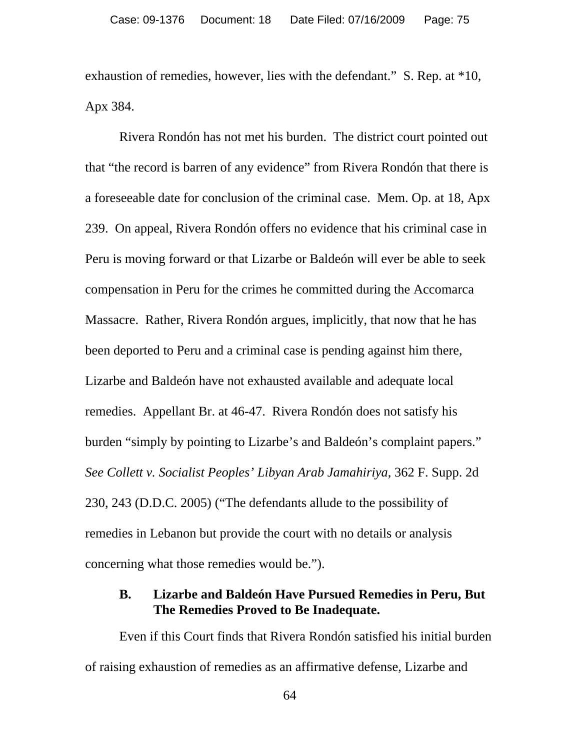exhaustion of remedies, however, lies with the defendant." S. Rep. at \*10, Apx 384.

Rivera Rondón has not met his burden. The district court pointed out that "the record is barren of any evidence" from Rivera Rondón that there is a foreseeable date for conclusion of the criminal case. Mem. Op. at 18, Apx 239. On appeal, Rivera Rondón offers no evidence that his criminal case in Peru is moving forward or that Lizarbe or Baldeón will ever be able to seek compensation in Peru for the crimes he committed during the Accomarca Massacre. Rather, Rivera Rondón argues, implicitly, that now that he has been deported to Peru and a criminal case is pending against him there, Lizarbe and Baldeón have not exhausted available and adequate local remedies. Appellant Br. at 46-47. Rivera Rondón does not satisfy his burden "simply by pointing to Lizarbe's and Baldeón's complaint papers." *See Collett v. Socialist Peoples' Libyan Arab Jamahiriya*, 362 F. Supp. 2d 230, 243 (D.D.C. 2005) ("The defendants allude to the possibility of remedies in Lebanon but provide the court with no details or analysis concerning what those remedies would be.").

### **B. Lizarbe and Baldeón Have Pursued Remedies in Peru, But The Remedies Proved to Be Inadequate.**

Even if this Court finds that Rivera Rondón satisfied his initial burden of raising exhaustion of remedies as an affirmative defense, Lizarbe and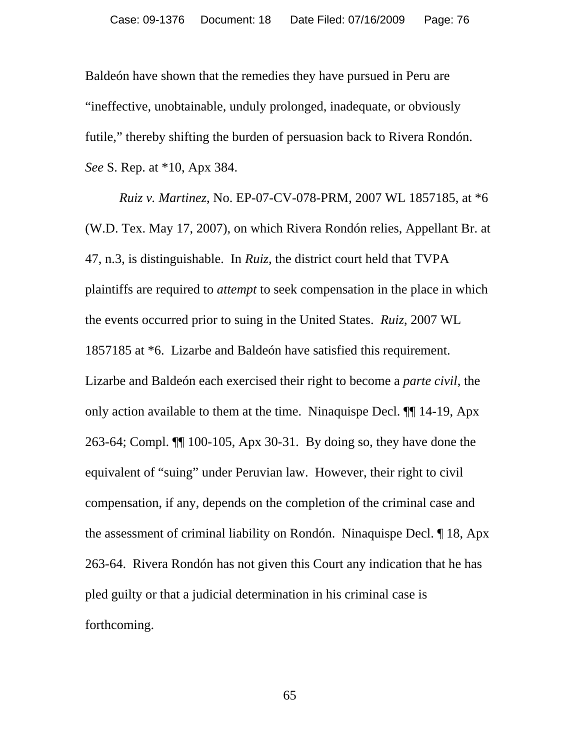Baldeón have shown that the remedies they have pursued in Peru are "ineffective, unobtainable, unduly prolonged, inadequate, or obviously futile," thereby shifting the burden of persuasion back to Rivera Rondón. *See* S. Rep. at \*10, Apx 384.

*Ruiz v. Martinez*, No. EP-07-CV-078-PRM, 2007 WL 1857185, at \*6 (W.D. Tex. May 17, 2007), on which Rivera Rondón relies, Appellant Br. at 47, n.3, is distinguishable. In *Ruiz,* the district court held that TVPA plaintiffs are required to *attempt* to seek compensation in the place in which the events occurred prior to suing in the United States. *Ruiz*, 2007 WL 1857185 at \*6. Lizarbe and Baldeón have satisfied this requirement. Lizarbe and Baldeón each exercised their right to become a *parte civil*, the only action available to them at the time. Ninaquispe Decl. ¶¶ 14-19, Apx 263-64; Compl. ¶¶ 100-105, Apx 30-31. By doing so, they have done the equivalent of "suing" under Peruvian law. However, their right to civil compensation, if any, depends on the completion of the criminal case and the assessment of criminal liability on Rondón. Ninaquispe Decl. ¶ 18, Apx 263-64. Rivera Rondón has not given this Court any indication that he has pled guilty or that a judicial determination in his criminal case is forthcoming.

65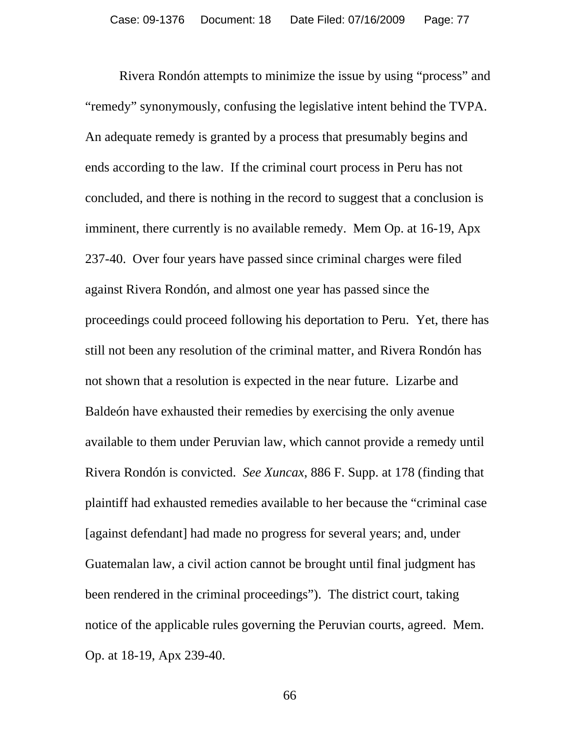Rivera Rondón attempts to minimize the issue by using "process" and "remedy" synonymously, confusing the legislative intent behind the TVPA. An adequate remedy is granted by a process that presumably begins and ends according to the law. If the criminal court process in Peru has not concluded, and there is nothing in the record to suggest that a conclusion is imminent, there currently is no available remedy. Mem Op. at 16-19, Apx 237-40. Over four years have passed since criminal charges were filed against Rivera Rondón, and almost one year has passed since the proceedings could proceed following his deportation to Peru. Yet, there has still not been any resolution of the criminal matter, and Rivera Rondón has not shown that a resolution is expected in the near future. Lizarbe and Baldeón have exhausted their remedies by exercising the only avenue available to them under Peruvian law, which cannot provide a remedy until Rivera Rondón is convicted. *See Xuncax*, 886 F. Supp. at 178 (finding that plaintiff had exhausted remedies available to her because the "criminal case [against defendant] had made no progress for several years; and, under Guatemalan law, a civil action cannot be brought until final judgment has been rendered in the criminal proceedings"). The district court, taking notice of the applicable rules governing the Peruvian courts, agreed. Mem. Op. at 18-19, Apx 239-40.

66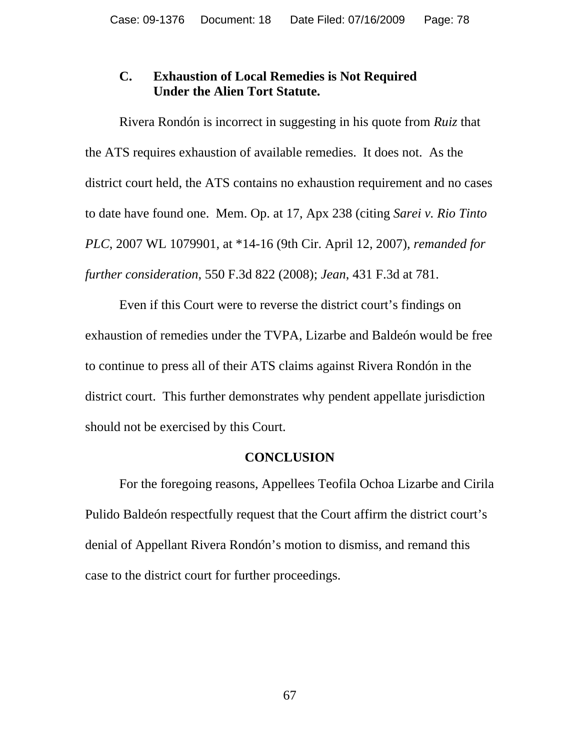## **C. Exhaustion of Local Remedies is Not Required Under the Alien Tort Statute.**

Rivera Rondón is incorrect in suggesting in his quote from *Ruiz* that the ATS requires exhaustion of available remedies. It does not. As the district court held, the ATS contains no exhaustion requirement and no cases to date have found one. Mem. Op. at 17, Apx 238 (citing *Sarei v. Rio Tinto PLC*, 2007 WL 1079901, at \*14-16 (9th Cir. April 12, 2007), *remanded for further consideration*, 550 F.3d 822 (2008); *Jean*, 431 F.3d at 781.

Even if this Court were to reverse the district court's findings on exhaustion of remedies under the TVPA, Lizarbe and Baldeón would be free to continue to press all of their ATS claims against Rivera Rondón in the district court. This further demonstrates why pendent appellate jurisdiction should not be exercised by this Court.

#### **CONCLUSION**

For the foregoing reasons, Appellees Teofila Ochoa Lizarbe and Cirila Pulido Baldeón respectfully request that the Court affirm the district court's denial of Appellant Rivera Rondón's motion to dismiss, and remand this case to the district court for further proceedings.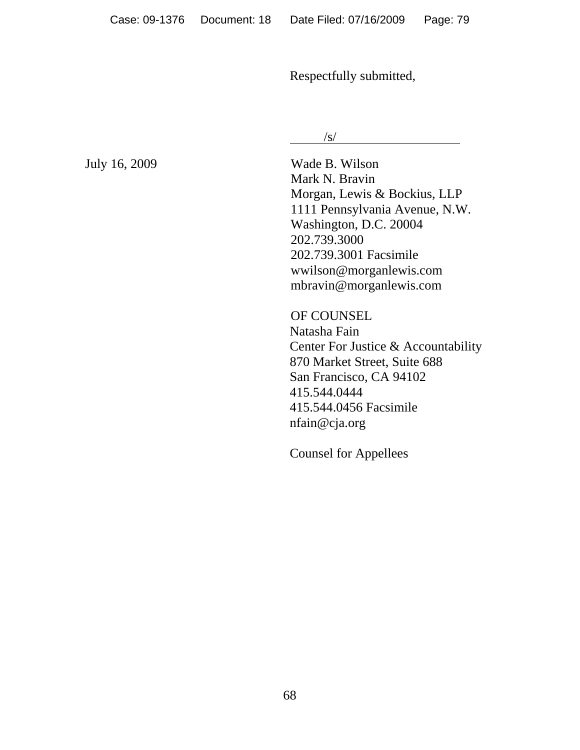Respectfully submitted,

 $\frac{1}{\sqrt{S}}$ 

July 16, 2009 Wade B. Wilson Mark N. Bravin Morgan, Lewis & Bockius, LLP 1111 Pennsylvania Avenue, N.W. Washington, D.C. 20004 202.739.3000 202.739.3001 Facsimile wwilson@morganlewis.com mbravin@morganlewis.com

> OF COUNSEL Natasha Fain Center For Justice & Accountability 870 Market Street, Suite 688 San Francisco, CA 94102 415.544.0444 415.544.0456 Facsimile nfain@cja.org

Counsel for Appellees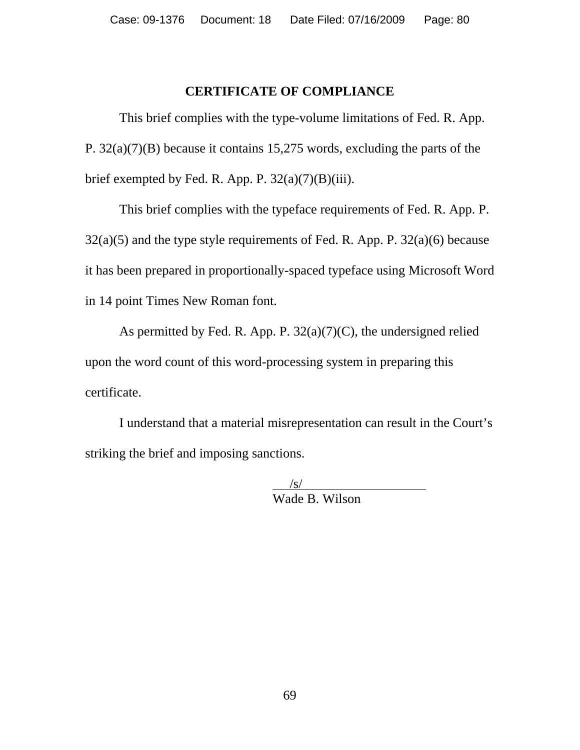## **CERTIFICATE OF COMPLIANCE**

This brief complies with the type-volume limitations of Fed. R. App. P. 32(a)(7)(B) because it contains 15,275 words, excluding the parts of the brief exempted by Fed. R. App. P.  $32(a)(7)(B)(iii)$ .

This brief complies with the typeface requirements of Fed. R. App. P.  $32(a)(5)$  and the type style requirements of Fed. R. App. P.  $32(a)(6)$  because it has been prepared in proportionally-spaced typeface using Microsoft Word in 14 point Times New Roman font.

As permitted by Fed. R. App. P.  $32(a)(7)(C)$ , the undersigned relied upon the word count of this word-processing system in preparing this certificate.

I understand that a material misrepresentation can result in the Court's striking the brief and imposing sanctions.

> $/$ s/ Wade B. Wilson